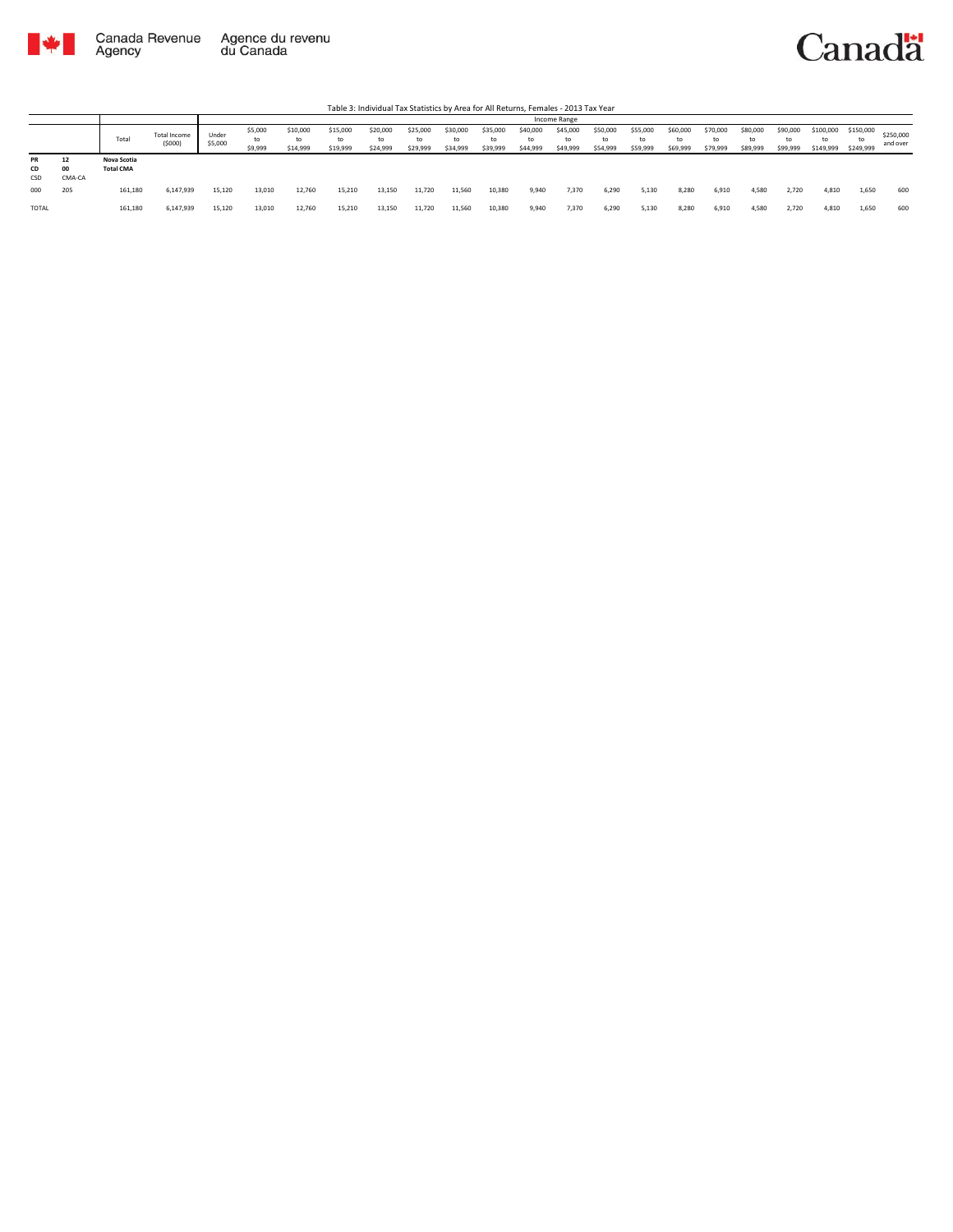



|                 |                    |                                 |                        |                  |                          |                            |                            |                            |                            |                            |                      |                            | Income Range               |                            |                            |                            |                            |                            |                            |                              |                        |                       |
|-----------------|--------------------|---------------------------------|------------------------|------------------|--------------------------|----------------------------|----------------------------|----------------------------|----------------------------|----------------------------|----------------------|----------------------------|----------------------------|----------------------------|----------------------------|----------------------------|----------------------------|----------------------------|----------------------------|------------------------------|------------------------|-----------------------|
|                 |                    | Total                           | Total Income<br>(5000) | Under<br>\$5,000 | \$5,000<br>to<br>\$9,999 | \$10,000<br>to<br>\$14,999 | \$15,000<br>to<br>\$19,999 | \$20,000<br>to<br>\$24,999 | \$25,000<br>to<br>\$29,999 | \$30,000<br>to<br>\$34,999 | \$35,000<br>\$39,999 | \$40,000<br>to<br>\$44,999 | \$45,000<br>to<br>\$49,999 | \$50,000<br>to<br>\$54,999 | \$55,000<br>to<br>\$59,999 | \$60,000<br>to<br>\$69,999 | \$70,000<br>to<br>\$79,999 | \$80,000<br>to<br>\$89,999 | \$90,000<br>to<br>\$99,999 | \$100,000<br>to<br>\$149,999 | \$150,000<br>\$249,999 | \$250,000<br>and over |
| PR<br>CD<br>CSD | 12<br>00<br>CMA-CA | Nova Scotia<br><b>Total CMA</b> |                        |                  |                          |                            |                            |                            |                            |                            |                      |                            |                            |                            |                            |                            |                            |                            |                            |                              |                        |                       |
| 000             | 205                | 161,180                         | 6,147,939              | 15,120           | 13,010                   | 12.760                     | 15,210                     | 13,150                     | 11.720                     | 11,560                     | 10,380               | 9,940                      | 7,370                      | 6,290                      | 5,130                      | 8,280                      | 6,910                      | 4,580                      | 2,720                      | 4,810                        | 1,650                  | 600                   |
| <b>TOTAL</b>    |                    | 161,180                         | 6,147,939              | 15,120           | 13,010                   | 12,760                     | 15,210                     | 13,150                     | 11,720                     | 11,560                     | 10,380               | 9,940                      | 7,370                      | 6,290                      | 5,130                      | 8,280                      | 6,910                      | 4.580                      | 2,720                      | 4,810                        | 1,650                  | 600                   |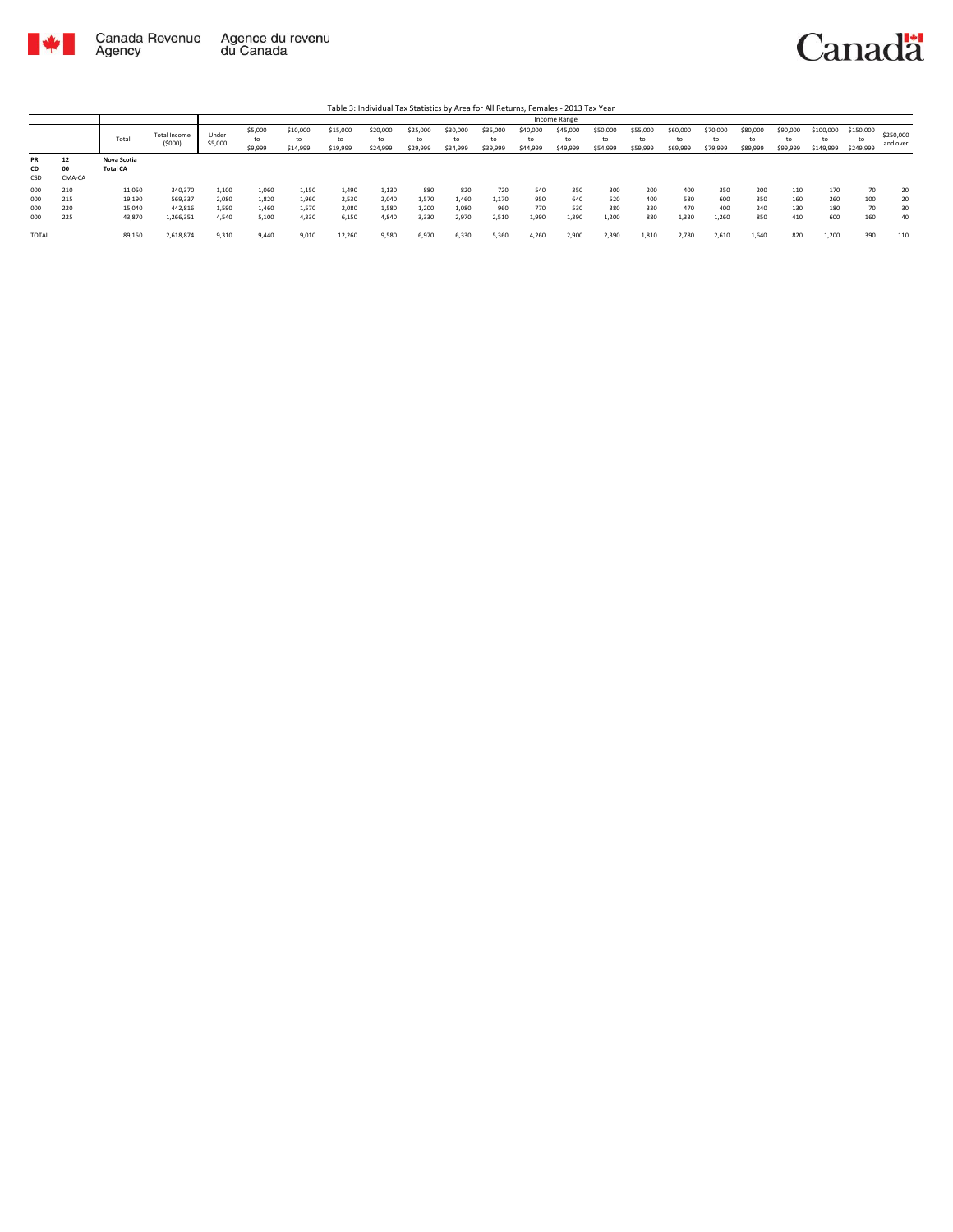



|                        |                    |                                |                               |                  |                          |                            |                            |                            |                            |                            |                            |                            | Income Range               |                            |                            |                            |                            |                            |                            |                              |                              |                       |
|------------------------|--------------------|--------------------------------|-------------------------------|------------------|--------------------------|----------------------------|----------------------------|----------------------------|----------------------------|----------------------------|----------------------------|----------------------------|----------------------------|----------------------------|----------------------------|----------------------------|----------------------------|----------------------------|----------------------------|------------------------------|------------------------------|-----------------------|
|                        |                    | Total                          | <b>Total Income</b><br>(5000) | Under<br>\$5,000 | \$5,000<br>to<br>\$9,999 | \$10,000<br>to<br>\$14,999 | \$15,000<br>to<br>\$19,999 | \$20,000<br>to<br>\$24,999 | \$25,000<br>to<br>\$29,999 | \$30,000<br>to<br>\$34,999 | \$35,000<br>to<br>\$39,999 | \$40,000<br>to<br>\$44,999 | \$45,000<br>to<br>\$49,999 | \$50,000<br>to<br>\$54,999 | \$55,000<br>to<br>\$59,999 | \$60,000<br>to<br>\$69,999 | \$70,000<br>to<br>\$79,999 | \$80,000<br>to<br>\$89,999 | \$90,000<br>to<br>\$99,999 | \$100,000<br>to<br>\$149,999 | \$150,000<br>tο<br>\$249,999 | \$250,000<br>and over |
| <b>PR</b><br>CD<br>CSD | 12<br>00<br>CMA-CA | Nova Scotia<br><b>Total CA</b> |                               |                  |                          |                            |                            |                            |                            |                            |                            |                            |                            |                            |                            |                            |                            |                            |                            |                              |                              |                       |
| 000                    | 210                | 11,050                         | 340,370                       | 1,100            | 1,060                    | 1,150                      | 1,490                      | 1,130                      | 880                        | 820                        | 720                        | 540                        | 350                        | 300                        | 200                        | 400                        | 350                        | 200                        | 110                        | 170                          | 70                           | 20                    |
| 000                    | 215                | 19,190                         | 569,337                       | 2,080            | 1,820                    | 1.960                      | 2,530                      | 2,040                      | 1,570                      | 1.460                      | 1,170                      | 950                        | 640                        | 520                        | 400                        | 580                        | 600                        | 350                        | 160                        | 260                          | 100                          | 20                    |
| 000                    | 220                | 15,040                         | 442,816                       | 1,590            | 1,460                    | 1,570                      | 2,080                      | 1,580                      | 1,200                      | 1,080                      | 960                        | 770                        | 530                        | 380                        | 330                        | 470                        | 400                        | 240                        | 130                        | 180                          | 70                           | 30                    |
| 000                    | 225                | 43,870                         | 1,266,351                     | 4,540            | 5,100                    | 4.330                      | 6.150                      | 4,840                      | 3.330                      | 2.970                      | 2.510                      | 1.990                      | 1,390                      | 1.200                      | 880                        | 1,330                      | 1,260                      | 850                        | 410                        | 600                          | 160                          | 40                    |
| <b>TOTAL</b>           |                    | 89,150                         | 2,618,874                     | 9,310            | 9,440                    | 9,010                      | 12,260                     | 9,580                      | 6,970                      | 6,330                      | 5,360                      | 4,260                      | 2,900                      | 2,390                      | 1,810                      | 2,780                      | 2,610                      | 1,640                      | 820                        | 1,200                        | 390                          | 110                   |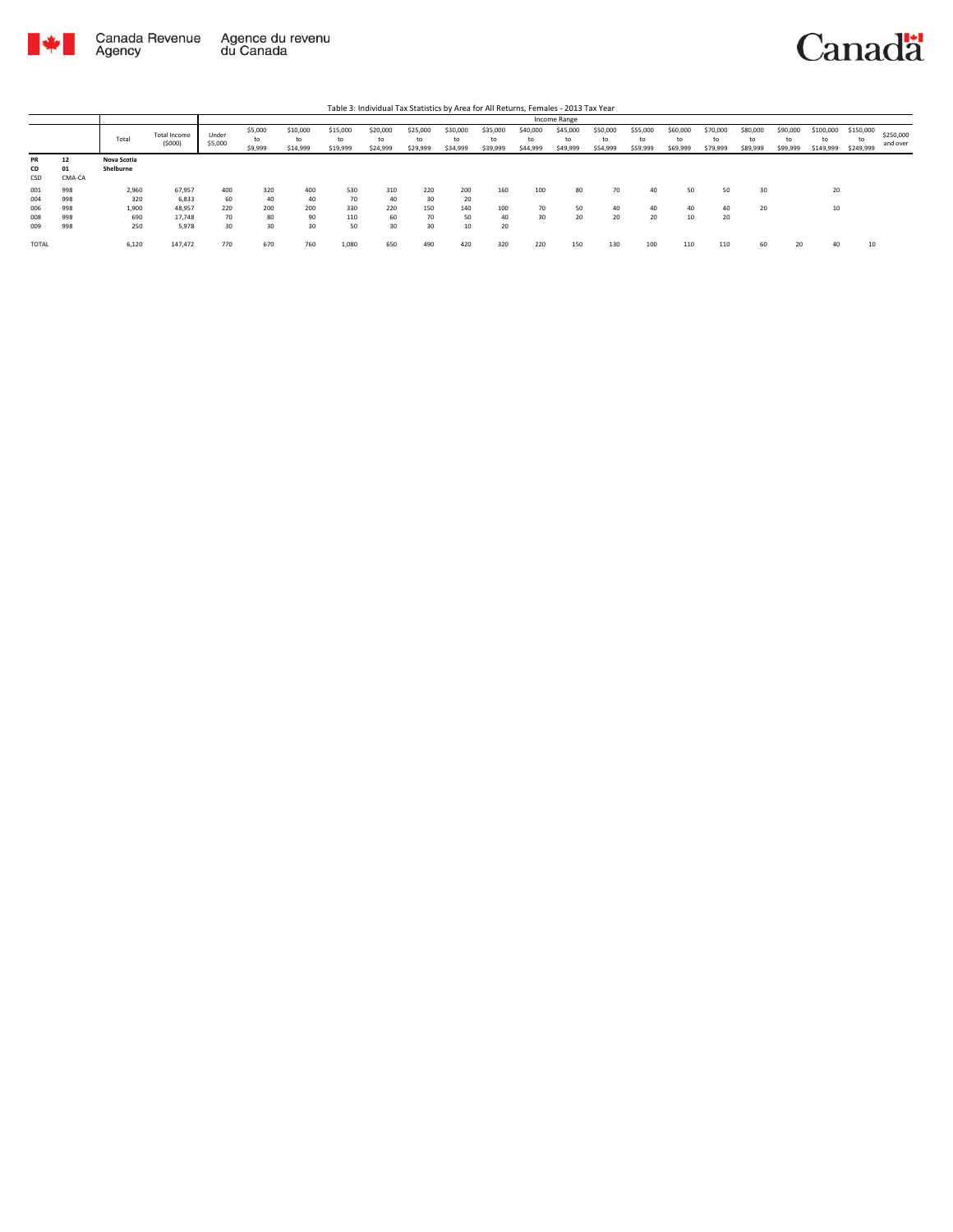

|                                 |                                 |                                     |                                              |                              |                              |                              |                               | Table 3: Individual Tax Statistics by Area for All Returns, Females - 2013 Tax Year |                              |                              |                            |                            |                            |                            |                            |                            |                            |                            |                            |                              |                              |                       |
|---------------------------------|---------------------------------|-------------------------------------|----------------------------------------------|------------------------------|------------------------------|------------------------------|-------------------------------|-------------------------------------------------------------------------------------|------------------------------|------------------------------|----------------------------|----------------------------|----------------------------|----------------------------|----------------------------|----------------------------|----------------------------|----------------------------|----------------------------|------------------------------|------------------------------|-----------------------|
|                                 |                                 |                                     |                                              |                              |                              |                              |                               |                                                                                     |                              |                              |                            |                            | Income Range               |                            |                            |                            |                            |                            |                            |                              |                              |                       |
|                                 |                                 | Total                               | Total Income<br>(5000)                       | Under<br>\$5,000             | \$5,000<br>to<br>\$9,999     | \$10,000<br>to<br>\$14,999   | \$15,000<br>to<br>\$19,999    | \$20,000<br>to<br>\$24,999                                                          | \$25,000<br>to<br>\$29,999   | \$30,000<br>to<br>\$34,999   | \$35,000<br>to<br>\$39,999 | \$40,000<br>to<br>\$44,999 | \$45,000<br>to<br>\$49,999 | \$50,000<br>to<br>\$54,999 | \$55,000<br>to<br>\$59,999 | \$60,000<br>to<br>\$69,999 | \$70,000<br>to<br>\$79,999 | \$80,000<br>to<br>\$89,999 | \$90,000<br>to<br>\$99,999 | \$100,000<br>to<br>\$149,999 | \$150,000<br>to<br>\$249,999 | \$250,000<br>and over |
| <b>PR</b><br>CD<br>CSD          | 12<br>01<br>CMA-CA              | Nova Scotia<br>Shelburne            |                                              |                              |                              |                              |                               |                                                                                     |                              |                              |                            |                            |                            |                            |                            |                            |                            |                            |                            |                              |                              |                       |
| 001<br>004<br>006<br>008<br>009 | 998<br>998<br>998<br>998<br>998 | 2,960<br>320<br>1.900<br>690<br>250 | 67,957<br>6.833<br>48.957<br>17.748<br>5.978 | 400<br>60<br>220<br>70<br>30 | 320<br>40<br>200<br>80<br>30 | 400<br>40<br>200<br>90<br>30 | 530<br>70<br>330<br>110<br>50 | 310<br>40<br>220<br>60<br>30                                                        | 220<br>30<br>150<br>70<br>30 | 200<br>20<br>140<br>50<br>10 | 160<br>100<br>40<br>20     | 100<br>70<br>30            | 80<br>50<br>20             | 70<br>40<br>20             | 40<br>40<br>20             | 50<br>40<br>10             | 50<br>40<br>20             | 30<br>20                   |                            | 20<br>10                     |                              |                       |
| <b>TOTAL</b>                    |                                 | 6,120                               | 147.472                                      | 770                          | 670                          | 760                          | 1.080                         | 650                                                                                 | 490                          | 420                          | 320                        | 220                        | 150                        | 130                        | 100                        | 110                        | 110                        | 60                         | 20                         | 40                           | 10                           |                       |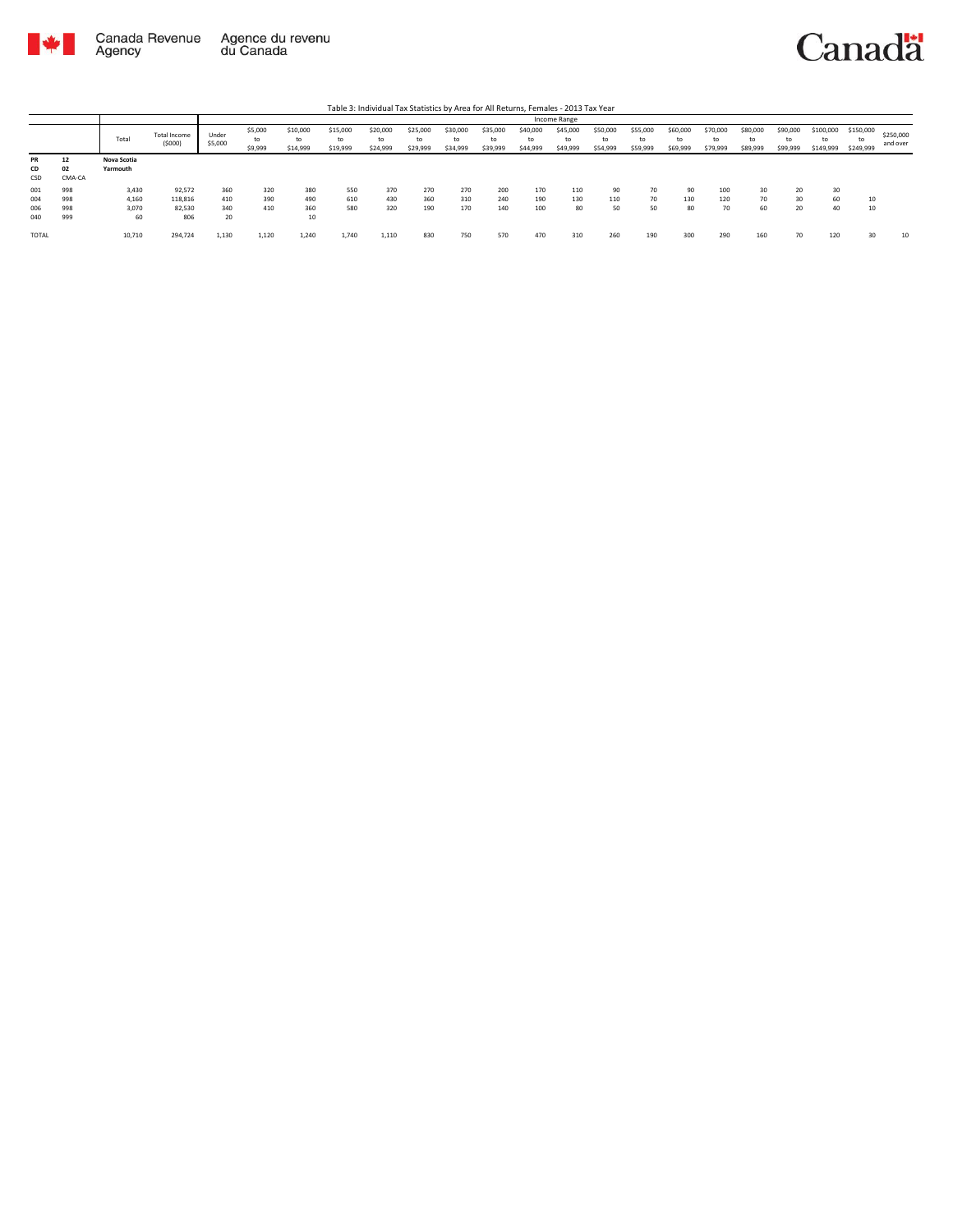

Agency

## Canadä

Total Total Income (\$000) Under \$5,000 \$5,000 to \$9,999 \$10,000 to \$14,999 \$15,000 to \$19,999 \$20,000 to \$24,999 \$25,000 to \$29,999 \$30,000 to \$34,999 \$35,000 to \$39,999 \$40,000 to \$44,999 \$45,000 to \$49,999 \$50,000 to \$54,999 \$55,000 to \$59,999 \$60,000 to \$69,999 \$70,000 to \$79,999 \$80,000 to \$89,999 \$90,000 to \$99,999 \$100,000 to \$149,999 \$150,000 to \$249,999 \$250,000 and over Table 3: Individual Tax Statistics by Area for All Returns, Females - 2013 Tax Year Income Range **PR 12 Nova Scotia CD 02 Yarmouth** PR 12<br>CD 02<br>CSD CMA-CA<br>001 998<br>004 998<br>006 998<br>040 999 001 998 3,430 92,572 360 320 380 550 370 270 270 200 170 110 90 70 90 100 30 20 30 004 998 4,160 118,816 410 390 490 610 430 360 310 240 190 130 110 70 130 120 70 30 60 10 006 998 3,070 82,530 340 410 360 580 320 190 170 140 100 80 50 50 80 70 60 20 40 10  $\begin{array}{cccc} 3,430 & \phantom{00} & 92,572 & \phantom{00} & 360 & \phantom{00} & 320 & \phantom{00} & 380 \\ 4,160 & \phantom{00} & 118,816 & \phantom{00} & 410 & \phantom{0} & 390 & \phantom{0} & 490 \\ 3,070 & \phantom{00} & 82,530 & \phantom{0} & 340 & \phantom{0} & 410 & \phantom{0} & 360 \\ 60 & \phantom{00} & 806 & \phantom{0} & 20 & \phantom$ TOTAL 10,710 294,724 1,130 1,120 1,240 1,740 1,110 830 750 570 470 310 260 190 300 290 160 70 120 30 10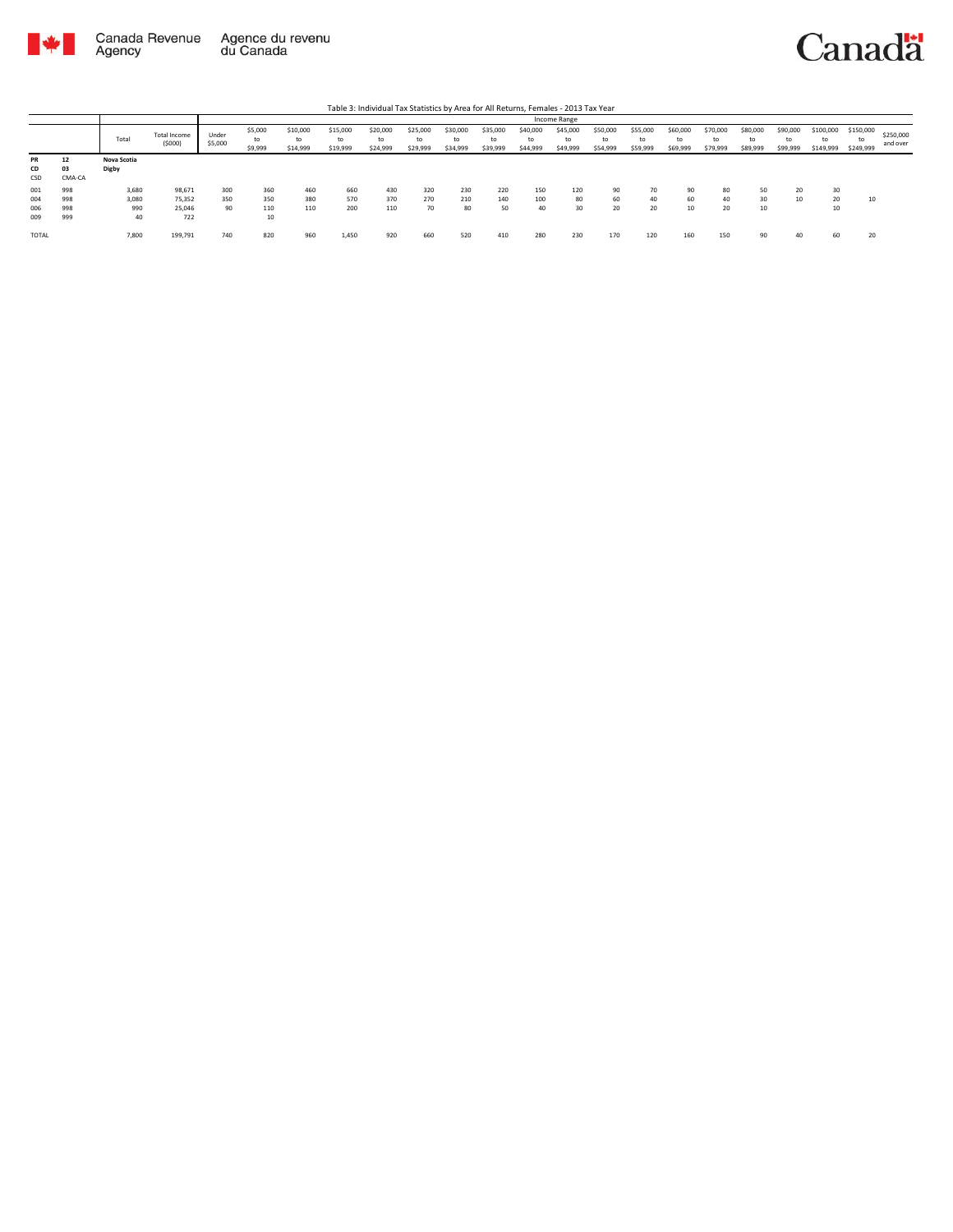

|                          |                          |                             |                                   |                  |                          |                            |                            | Table 3: Individual Tax Statistics by Area for All Returns, Females - 2013 Tax Year |                            |                            |                            |                            |                            |                            |                            |                            |                            |                            |                            |                              |                              |                       |
|--------------------------|--------------------------|-----------------------------|-----------------------------------|------------------|--------------------------|----------------------------|----------------------------|-------------------------------------------------------------------------------------|----------------------------|----------------------------|----------------------------|----------------------------|----------------------------|----------------------------|----------------------------|----------------------------|----------------------------|----------------------------|----------------------------|------------------------------|------------------------------|-----------------------|
|                          |                          |                             |                                   |                  |                          |                            |                            |                                                                                     |                            |                            |                            |                            | Income Range               |                            |                            |                            |                            |                            |                            |                              |                              |                       |
|                          |                          | Total                       | Total Income<br>(5000)            | Under<br>\$5,000 | \$5,000<br>to<br>\$9,999 | \$10,000<br>to<br>\$14,999 | \$15,000<br>to<br>\$19,999 | \$20,000<br>to<br>\$24,999                                                          | \$25,000<br>to<br>\$29,999 | \$30,000<br>to<br>\$34,999 | \$35,000<br>to<br>\$39,999 | \$40,000<br>to<br>\$44,999 | \$45,000<br>to<br>\$49,999 | \$50,000<br>to<br>\$54,999 | \$55,000<br>to<br>\$59,999 | \$60,000<br>to<br>\$69,999 | \$70,000<br>to<br>\$79,999 | \$80,000<br>to<br>\$89,999 | \$90,000<br>to<br>\$99,999 | \$100,000<br>to<br>\$149,999 | \$150,000<br>to<br>\$249,999 | \$250,000<br>and over |
| <b>PR</b><br>CD<br>CSD   | 12<br>03<br>CMA-CA       | Nova Scotia<br>Digby        |                                   |                  |                          |                            |                            |                                                                                     |                            |                            |                            |                            |                            |                            |                            |                            |                            |                            |                            |                              |                              |                       |
| 001<br>004<br>006<br>009 | 998<br>998<br>998<br>999 | 3,680<br>3,080<br>990<br>40 | 98,671<br>75.352<br>25.046<br>722 | 300<br>350<br>90 | 360<br>350<br>110<br>10  | 460<br>380<br>110          | 660<br>570<br>200          | 430<br>370<br>110                                                                   | 320<br>270<br>70           | 230<br>210<br>80           | 220<br>140<br>50           | 150<br>100<br>40           | 120<br>80<br>30            | 90<br>60<br>20             | 70<br>40<br>20             | 90<br>60<br>10             | 80<br>40<br>20             | 50<br>30<br>10             | 20<br>10                   | 30<br>20<br>10               | 10                           |                       |
| TOTAL                    |                          | 7,800                       | 199,791                           | 740              | 820                      | 960                        | 1,450                      | 920                                                                                 | 660                        | 520                        | 410                        | 280                        | 230                        | 170                        | 120                        | 160                        | 150                        | 90                         |                            | 60                           | 20                           |                       |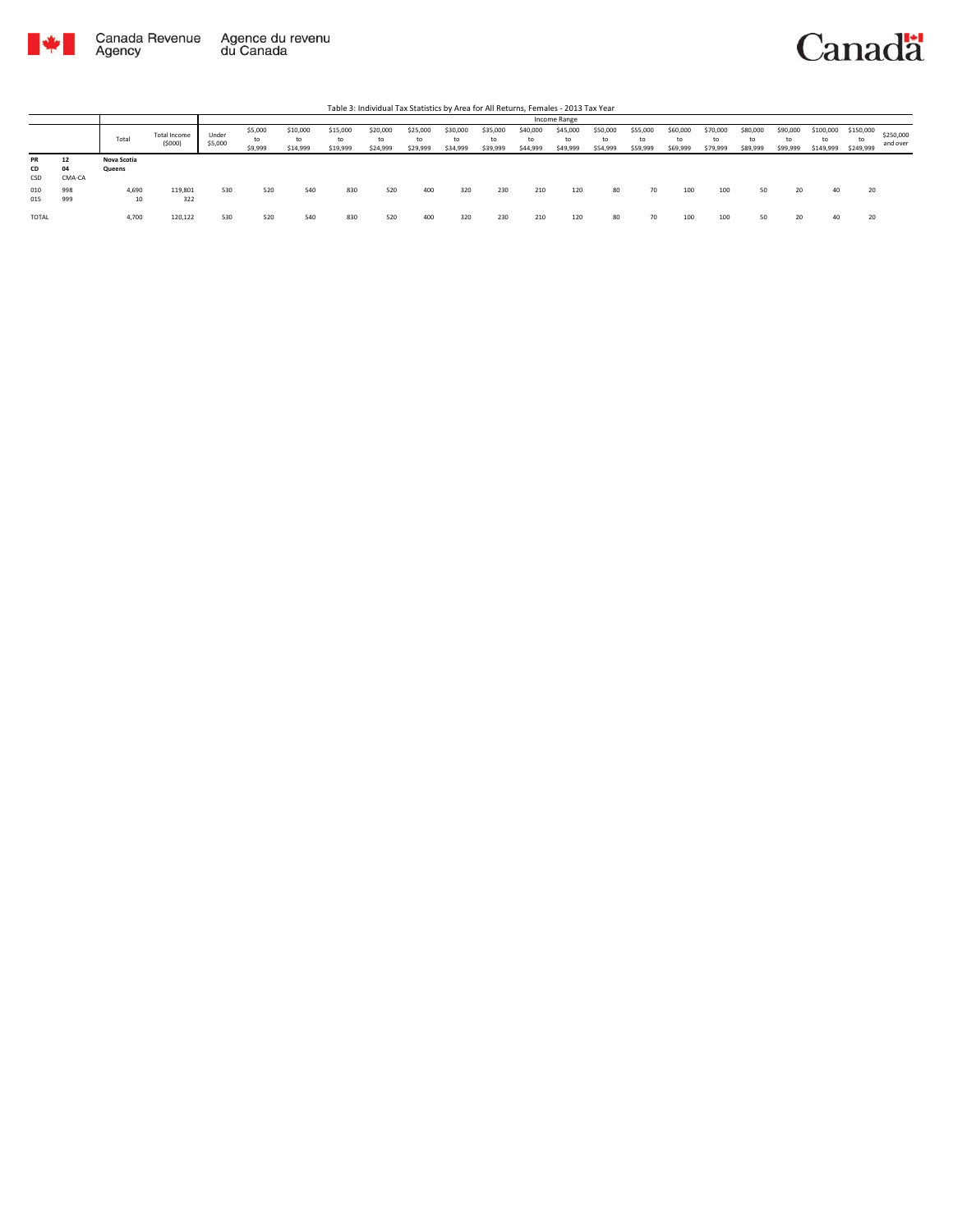

|                 |                    |                       |                        |                  |                          |                            |                            |                            |                            |                      |                            |                            | Income Range               |                            |                            |                            |                            |                                      |                      |                              |                              |                       |
|-----------------|--------------------|-----------------------|------------------------|------------------|--------------------------|----------------------------|----------------------------|----------------------------|----------------------------|----------------------|----------------------------|----------------------------|----------------------------|----------------------------|----------------------------|----------------------------|----------------------------|--------------------------------------|----------------------|------------------------------|------------------------------|-----------------------|
|                 |                    | Total                 | Total Income<br>(5000) | Under<br>\$5,000 | \$5,000<br>to<br>\$9,999 | \$10,000<br>to<br>\$14,999 | \$15,000<br>to<br>\$19,999 | \$20,000<br>to<br>\$24,999 | \$25,000<br>to<br>\$29,999 | \$30,000<br>\$34,999 | \$35,000<br>to<br>\$39,999 | \$40,000<br>to<br>\$44,999 | \$45,000<br>to<br>\$49,999 | \$50,000<br>to<br>\$54,999 | \$55,000<br>to<br>\$59,999 | \$60,000<br>to<br>\$69,999 | \$70,000<br>to<br>\$79,999 | \$80,000<br>$^{\dagger}$<br>\$89,999 | \$90,000<br>\$99,999 | \$100,000<br>to<br>\$149,999 | \$150,000<br>to<br>\$249,999 | \$250,000<br>and over |
| PR<br>CD<br>CSD | 12<br>04<br>CMA-CA | Nova Scotia<br>Queens |                        |                  |                          |                            |                            |                            |                            |                      |                            |                            |                            |                            |                            |                            |                            |                                      |                      |                              |                              |                       |
| 010<br>015      | 998<br>999         | 4,690<br>10           | 119,801<br>322         | 530              | 520                      | 540                        | 830                        | 520                        | 400                        | 320                  | 230                        | 210                        | 120                        | 80                         | 70                         | 100                        | 100                        | 50                                   | 20                   | 40                           | 20                           |                       |
| TOTAL           |                    | 4,700                 | 120,122                | 530              | 520                      | 540                        | 830                        | 520                        | 400                        | 320                  | 230                        | 210                        | 120                        | 80                         | 70                         |                            |                            | 50                                   |                      | 40                           | 20                           |                       |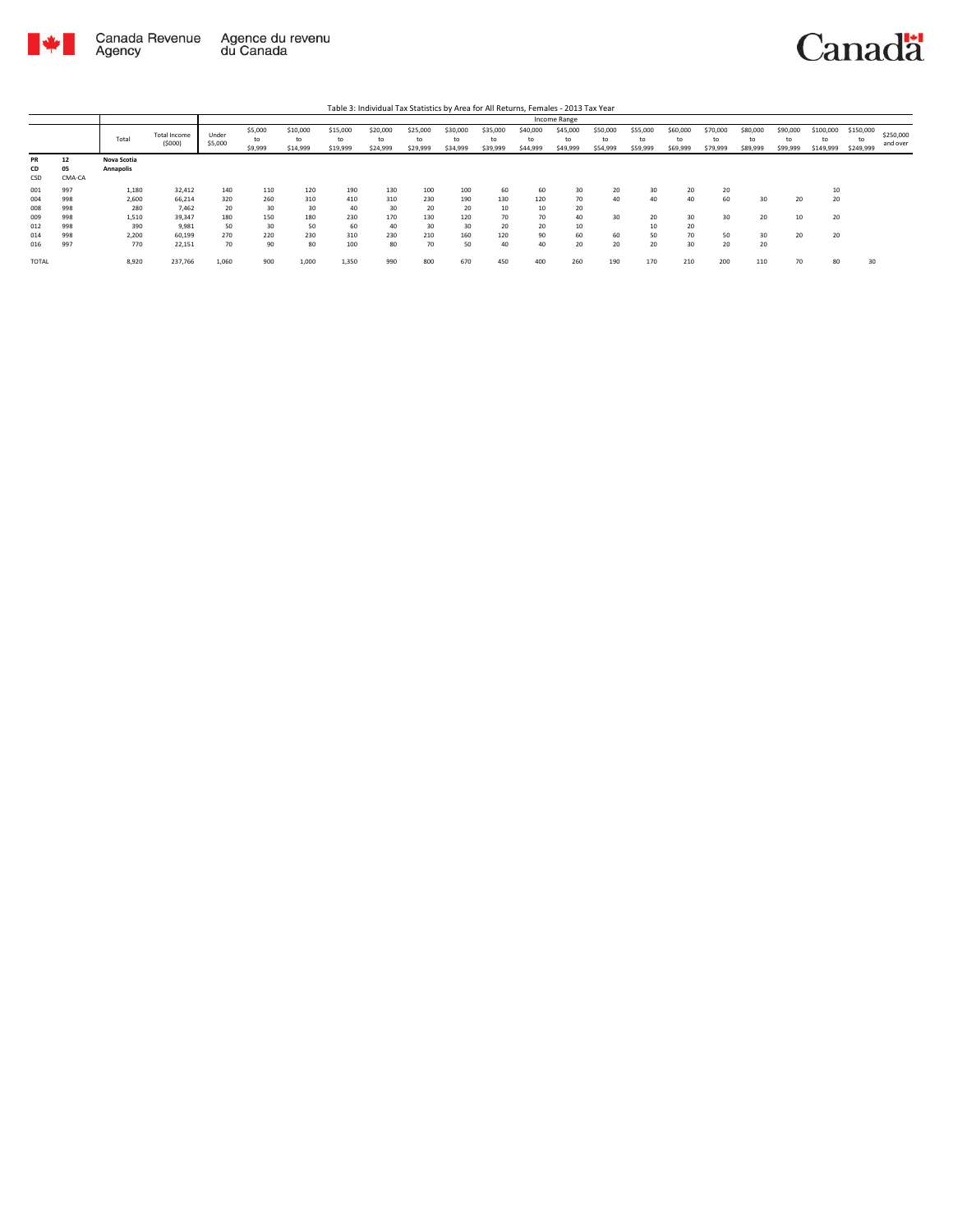

|                 |                    |                          |                               |                  |                          |                            |                            |                            |                            |                            |                            |                            | Income Range               |                            |                            |                            |                            |                      |                            |                              |                              |                       |
|-----------------|--------------------|--------------------------|-------------------------------|------------------|--------------------------|----------------------------|----------------------------|----------------------------|----------------------------|----------------------------|----------------------------|----------------------------|----------------------------|----------------------------|----------------------------|----------------------------|----------------------------|----------------------|----------------------------|------------------------------|------------------------------|-----------------------|
|                 |                    | Total                    | <b>Total Income</b><br>(5000) | Under<br>\$5,000 | \$5,000<br>to<br>\$9,999 | \$10,000<br>to<br>\$14,999 | \$15,000<br>to<br>\$19,999 | \$20,000<br>to<br>\$24,999 | \$25,000<br>to<br>\$29,999 | \$30,000<br>to<br>\$34,999 | \$35,000<br>to<br>\$39,999 | \$40,000<br>to<br>\$44,999 | \$45,000<br>to<br>\$49,999 | \$50,000<br>to<br>\$54,999 | \$55,000<br>to<br>\$59,999 | \$60,000<br>to<br>\$69,999 | \$70,000<br>to<br>\$79,999 | \$80,000<br>\$89,999 | \$90,000<br>to<br>\$99,999 | \$100,000<br>to<br>\$149,999 | \$150,000<br>to<br>\$249,999 | \$250,000<br>and over |
| PR<br>CD<br>CSD | 12<br>05<br>CMA-CA | Nova Scotia<br>Annapolis |                               |                  |                          |                            |                            |                            |                            |                            |                            |                            |                            |                            |                            |                            |                            |                      |                            |                              |                              |                       |
| 001             | 997                | 1,180                    | 32,412                        | 140              | 110                      | 120                        | 190                        | 130                        | 100                        | 100                        | 60                         | 60                         | 30                         | 20                         | 30                         | 20                         | 20                         |                      |                            | 10                           |                              |                       |
| 004<br>008      | 998<br>998         | 2,600<br>280             | 66.214<br>7.462               | 320<br>20        | 260<br>30                | 310<br>30                  | 410<br>40                  | 310<br>30                  | 230<br>20                  | 190<br>20                  | 130<br>10                  | 120<br>10                  | 70<br>20                   | 40                         | 40                         | 40                         | 60                         | 30                   | 20                         | 20                           |                              |                       |
| 009             | 998                | 1,510                    | 39.347                        | 180              | 150                      | 180                        | 230                        | 170                        | 130                        | 120                        | 70                         | 70                         | 40                         | 30                         | 20                         | 30                         | 30                         | 20                   |                            | 20                           |                              |                       |
| 012<br>014      | 998<br>998         | 390<br>2,200             | 9,981<br>60,199               | 50<br>270        | 30<br>220                | 50<br>230                  | 60<br>310                  | 40<br>230                  | 30<br>210                  | 30<br>160                  | 20<br>120                  | 20<br>90                   | 10<br>60                   | 60                         | 10<br>50                   | 20<br>70                   | 50                         | 30                   | 20                         | 20                           |                              |                       |
| 016             | 997                | 770                      | 22.151                        | 70               | 90                       | 80                         | 100                        | 80                         | 70                         | 50                         | 40                         | 40                         | 20                         | 20                         | 20                         | 30                         | 20                         | 20                   |                            |                              |                              |                       |
| TOTAL           |                    | 8,920                    | 237,766                       | 1,060            | 900                      | 1,000                      | 1,350                      | 990                        | 800                        | 670                        | 450                        | 400                        | 260                        | 190                        | 170                        | 210                        | 200                        | 110                  |                            | 80                           | 30                           |                       |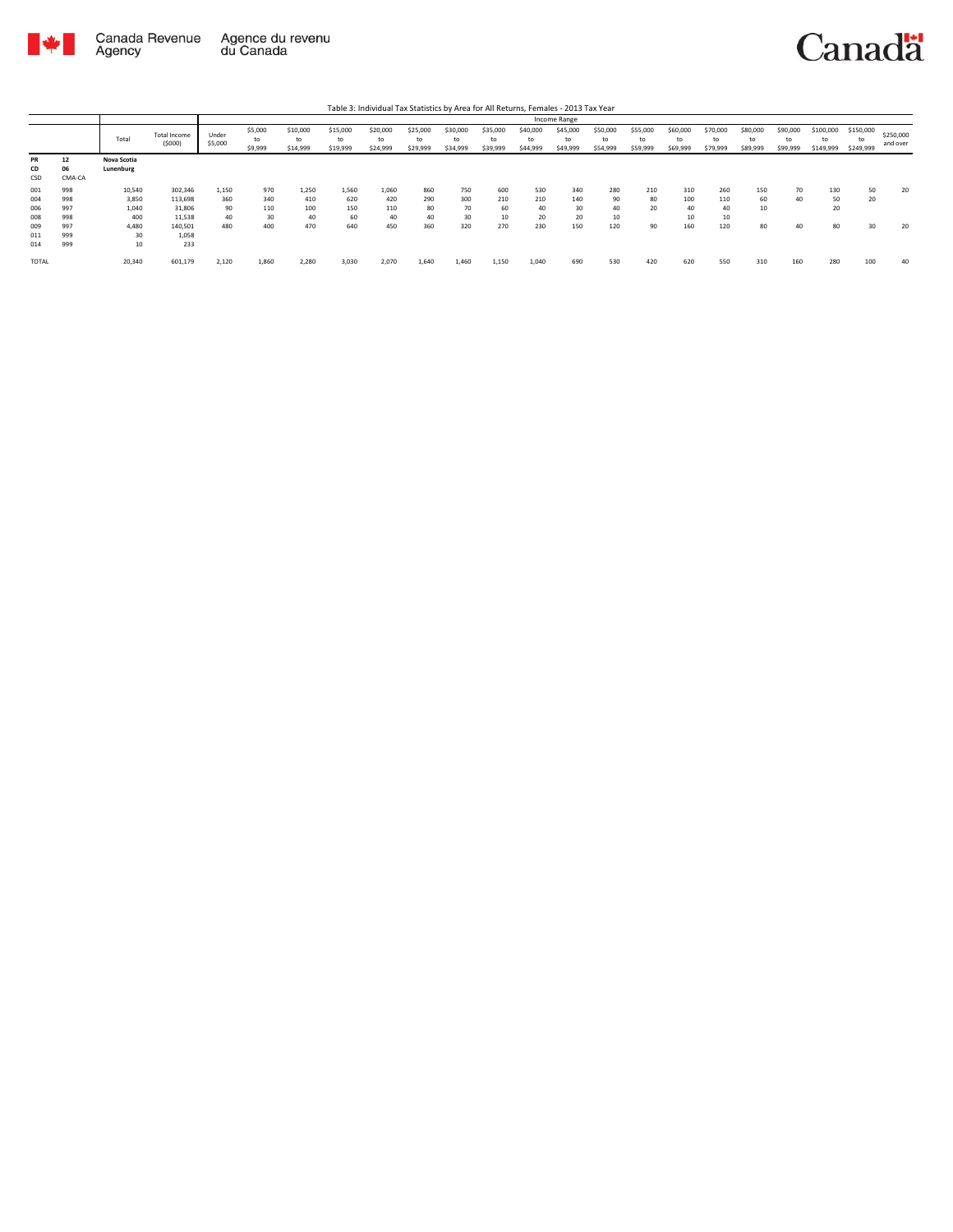

|                                 |                                 |                                          |                                                   |                                 |                                |                                  |                                  | Table 3: Individual Tax Statistics by Area for All Returns, Females - 2013 Tax Year |                               |                            |                               |                               |                               |                              |                            |                            |                               |                             |                            |                              |                              |                       |
|---------------------------------|---------------------------------|------------------------------------------|---------------------------------------------------|---------------------------------|--------------------------------|----------------------------------|----------------------------------|-------------------------------------------------------------------------------------|-------------------------------|----------------------------|-------------------------------|-------------------------------|-------------------------------|------------------------------|----------------------------|----------------------------|-------------------------------|-----------------------------|----------------------------|------------------------------|------------------------------|-----------------------|
|                                 |                                 |                                          |                                                   |                                 |                                |                                  |                                  |                                                                                     |                               |                            |                               |                               | Income Range                  |                              |                            |                            |                               |                             |                            |                              |                              |                       |
|                                 |                                 | Total                                    | Total Income<br>(5000)                            | Under<br>\$5,000                | \$5,000<br>to<br>\$9,999       | \$10,000<br>to<br>\$14,999       | \$15,000<br>to<br>\$19,999       | \$20,000<br>to<br>\$24,999                                                          | \$25,000<br>to<br>\$29,999    | \$30,000<br>to<br>\$34,999 | \$35,000<br>to<br>\$39,999    | \$40,000<br>to<br>\$44,999    | \$45,000<br>to<br>\$49,999    | \$50,000<br>to<br>\$54,999   | \$55,000<br>to<br>\$59,999 | \$60,000<br>to<br>\$69,999 | \$70,000<br>to<br>\$79,999    | \$80,000<br>to.<br>\$89,999 | \$90,000<br>to<br>\$99,999 | \$100,000<br>to<br>\$149,999 | \$150,000<br>to<br>\$249,999 | \$250,000<br>and over |
| <b>PR</b><br>CD<br>CSD          | 12<br>06<br>CMA-CA              | Nova Scotia<br>Lunenburg                 |                                                   |                                 |                                |                                  |                                  |                                                                                     |                               |                            |                               |                               |                               |                              |                            |                            |                               |                             |                            |                              |                              |                       |
| 001<br>004<br>006<br>008<br>009 | 998<br>998<br>997<br>998<br>997 | 10,540<br>3.850<br>1.040<br>400<br>4.480 | 302,346<br>113.698<br>31.806<br>11,538<br>140,501 | 1.150<br>360<br>90<br>40<br>480 | 970<br>340<br>110<br>30<br>400 | 1.250<br>410<br>100<br>40<br>470 | 1.560<br>620<br>150<br>60<br>640 | 1.060<br>420<br>110<br>40<br>450                                                    | 860<br>290<br>80<br>40<br>360 | 750<br>300<br>30<br>320    | 600<br>210<br>60<br>10<br>270 | 530<br>210<br>40<br>20<br>230 | 340<br>140<br>30<br>20<br>150 | 280<br>90<br>40<br>10<br>120 | 210<br>80<br>20<br>90      | 310<br>100<br>40<br>160    | 260<br>110<br>40<br>10<br>120 | 150<br>60<br>10<br>80       | 70<br>40<br>40             | 130<br>50<br>20<br>80        | 50<br>20<br>30               | 20<br>20              |
| 011<br>014<br><b>TOTAL</b>      | 999<br>999                      | 30<br>10<br>20,340                       | 1.058<br>233<br>601,179                           | 2,120                           | 1,860                          | 2.280                            | 3,030                            | 2,070                                                                               | 1.640                         | 1,460                      | 1,150                         | 1,040                         | 690                           | 530                          | 420                        | 620                        | 550                           | 310                         | 160                        | 280                          | 100                          | 40                    |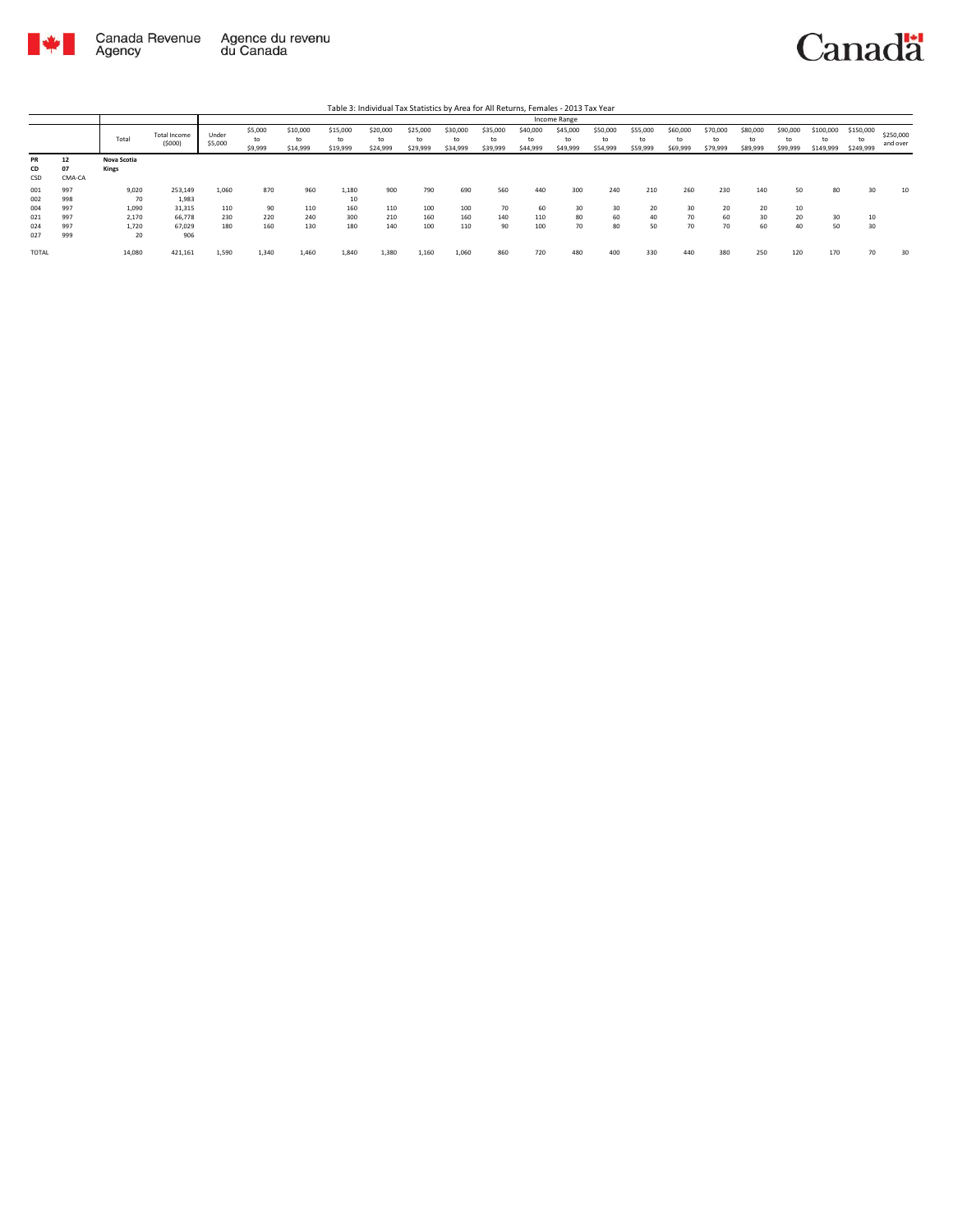

|                        |                    |                      |                        |                  |                          |                            |                            | Table 3: Individual Tax Statistics by Area for All Returns, Females - 2013 Tax Year |                      |                            |                            |                            |                            |                            |                            |                            |                            |                            |                            |                              |                              |                       |
|------------------------|--------------------|----------------------|------------------------|------------------|--------------------------|----------------------------|----------------------------|-------------------------------------------------------------------------------------|----------------------|----------------------------|----------------------------|----------------------------|----------------------------|----------------------------|----------------------------|----------------------------|----------------------------|----------------------------|----------------------------|------------------------------|------------------------------|-----------------------|
|                        |                    |                      |                        |                  |                          |                            |                            |                                                                                     |                      |                            |                            |                            | Income Range               |                            |                            |                            |                            |                            |                            |                              |                              |                       |
|                        |                    | Total                | Total Income<br>(5000) | Under<br>\$5,000 | \$5,000<br>to<br>\$9,999 | \$10,000<br>to<br>\$14,999 | \$15,000<br>to<br>\$19,999 | \$20,000<br>to<br>\$24,999                                                          | \$25,000<br>\$29,999 | \$30,000<br>to<br>\$34,999 | \$35,000<br>to<br>\$39,999 | \$40,000<br>to<br>\$44,999 | \$45,000<br>to<br>\$49,999 | \$50,000<br>to<br>\$54,999 | \$55,000<br>to<br>\$59,999 | \$60,000<br>to<br>\$69,999 | \$70,000<br>to<br>\$79,999 | \$80,000<br>to<br>\$89,999 | \$90,000<br>to<br>\$99,999 | \$100,000<br>to<br>\$149,999 | \$150,000<br>to<br>\$249,999 | \$250,000<br>and over |
| <b>PR</b><br>CD<br>CSD | 12<br>07<br>CMA-CA | Nova Scotia<br>Kings |                        |                  |                          |                            |                            |                                                                                     |                      |                            |                            |                            |                            |                            |                            |                            |                            |                            |                            |                              |                              |                       |
| 001<br>002             | 997<br>998         | 9,020<br>70          | 253,149<br>1,983       | 1.060            | 870                      | 960                        | 1.180<br>10                | 900                                                                                 | 790                  | 690                        | 560                        | 440                        | 300                        | 240                        | 210                        | 260                        | 230                        | 140                        | 50                         | 80                           | 30                           | 10                    |
| 004<br>021             | 997<br>997         | 1,090<br>2,170       | 31,315<br>66.778       | 110<br>230       | 90<br>220                | 110<br>240                 | 160<br>300                 | 110<br>210                                                                          | 100<br>160           | 100<br>160                 | 70<br>140                  | 60<br>110                  | 30<br>80                   | 30<br>60                   | 20<br>40                   | 30<br>70                   | 20<br>60                   | 20<br>30                   | 10<br>20                   | 30                           | 10                           |                       |
| 024<br>027             | 997<br>999         | 1,720<br>20          | 67.029<br>906          | 180              | 160                      | 130                        | 180                        | 140                                                                                 | 100                  | 110                        | 90                         | 100                        | 70                         | 80                         | 50                         | 70                         | 70                         | 60                         | 40                         | 50                           | 30                           |                       |
| TOTAL                  |                    | 14,080               | 421,161                | 1,590            | 1,340                    | 1,460                      | 1,840                      | 1,380                                                                               | 1,160                | 1,060                      | 860                        | 720                        | 480                        | 400                        | 330                        | 440                        | 380                        | 250                        | 120                        | 170                          | 70                           | 30                    |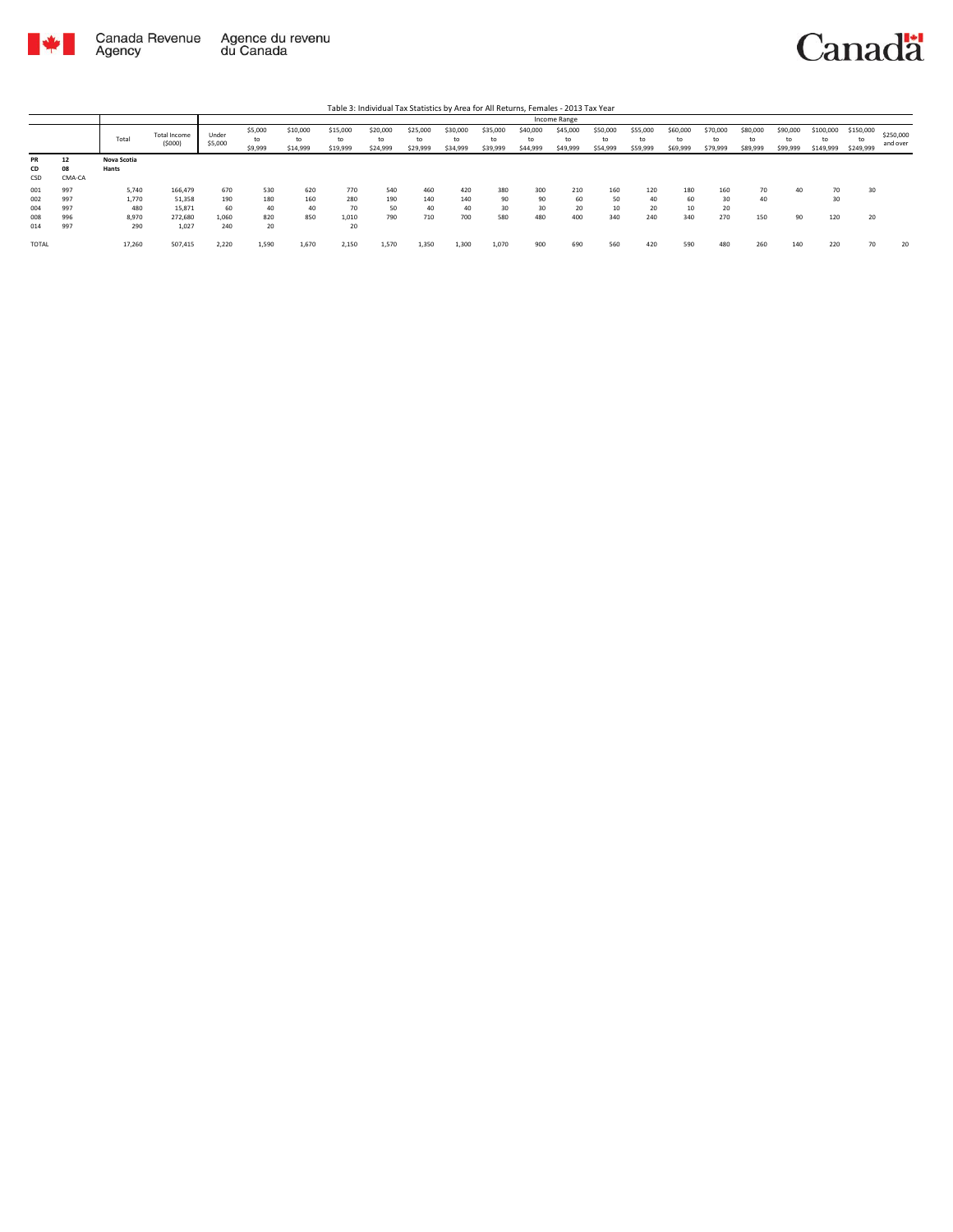

|                          |                          |                                |                                        |                           |                          |                            |                            | Table 3: Individual Tax Statistics by Area for All Returns, Females - 2013 Tax Year |                            |                            |                            |                            |                            |                            |                            |                            |                            |                      |                            |                              |                              |                       |
|--------------------------|--------------------------|--------------------------------|----------------------------------------|---------------------------|--------------------------|----------------------------|----------------------------|-------------------------------------------------------------------------------------|----------------------------|----------------------------|----------------------------|----------------------------|----------------------------|----------------------------|----------------------------|----------------------------|----------------------------|----------------------|----------------------------|------------------------------|------------------------------|-----------------------|
|                          |                          |                                |                                        |                           |                          |                            |                            |                                                                                     |                            |                            |                            |                            | Income Range               |                            |                            |                            |                            |                      |                            |                              |                              |                       |
|                          |                          | Total                          | <b>Total Income</b><br>(5000)          | Under<br>\$5,000          | \$5,000<br>to<br>\$9,999 | \$10,000<br>to<br>\$14,999 | \$15,000<br>to<br>\$19,999 | \$20,000<br>to<br>\$24,999                                                          | \$25,000<br>to<br>\$29,999 | \$30,000<br>to<br>\$34,999 | \$35,000<br>to<br>\$39,999 | \$40,000<br>to<br>\$44,999 | \$45,000<br>to<br>\$49,999 | \$50,000<br>to<br>\$54,999 | \$55,000<br>to<br>\$59,999 | \$60,000<br>to<br>\$69,999 | \$70,000<br>to<br>\$79,999 | \$80,000<br>\$89,999 | \$90,000<br>to<br>\$99,999 | \$100,000<br>tα<br>\$149,999 | \$150,000<br>to<br>\$249,999 | \$250,000<br>and over |
| <b>PR</b><br>CD<br>CSD   | 12<br>08<br>CMA-CA       | Nova Scotia<br>Hants           |                                        |                           |                          |                            |                            |                                                                                     |                            |                            |                            |                            |                            |                            |                            |                            |                            |                      |                            |                              |                              |                       |
| 001<br>002<br>004<br>008 | 997<br>997<br>997<br>996 | 5,740<br>1.770<br>480<br>8,970 | 166,479<br>51.358<br>15,871<br>272,680 | 670<br>190<br>60<br>1,060 | 530<br>180<br>40<br>820  | 620<br>160<br>40<br>850    | 770<br>280<br>70<br>1,010  | 540<br>190<br>50<br>790                                                             | 460<br>140<br>40<br>710    | 420<br>140<br>40<br>700    | 380<br>90<br>30<br>580     | 300<br>90<br>30<br>480     | 210<br>60<br>20<br>400     | 160<br>50<br>340           | 120<br>40<br>20<br>240     | 180<br>60<br>340           | 160<br>30<br>20<br>270     | 70<br>40<br>150      | 40<br>90                   | 70<br>30<br>120              | 30<br>20                     |                       |
| 014<br><b>TOTAL</b>      | 997                      | 290<br>17,260                  | 1.027<br>507,415                       | 240<br>2,220              | 20<br>1,590              | 1,670                      | 20<br>2,150                | 1,570                                                                               | 1,350                      | 1,300                      | 1,070                      | 900                        | 690                        | 560                        | 420                        | 590                        | 480                        | 260                  | 140                        | 220                          | 70                           | 20                    |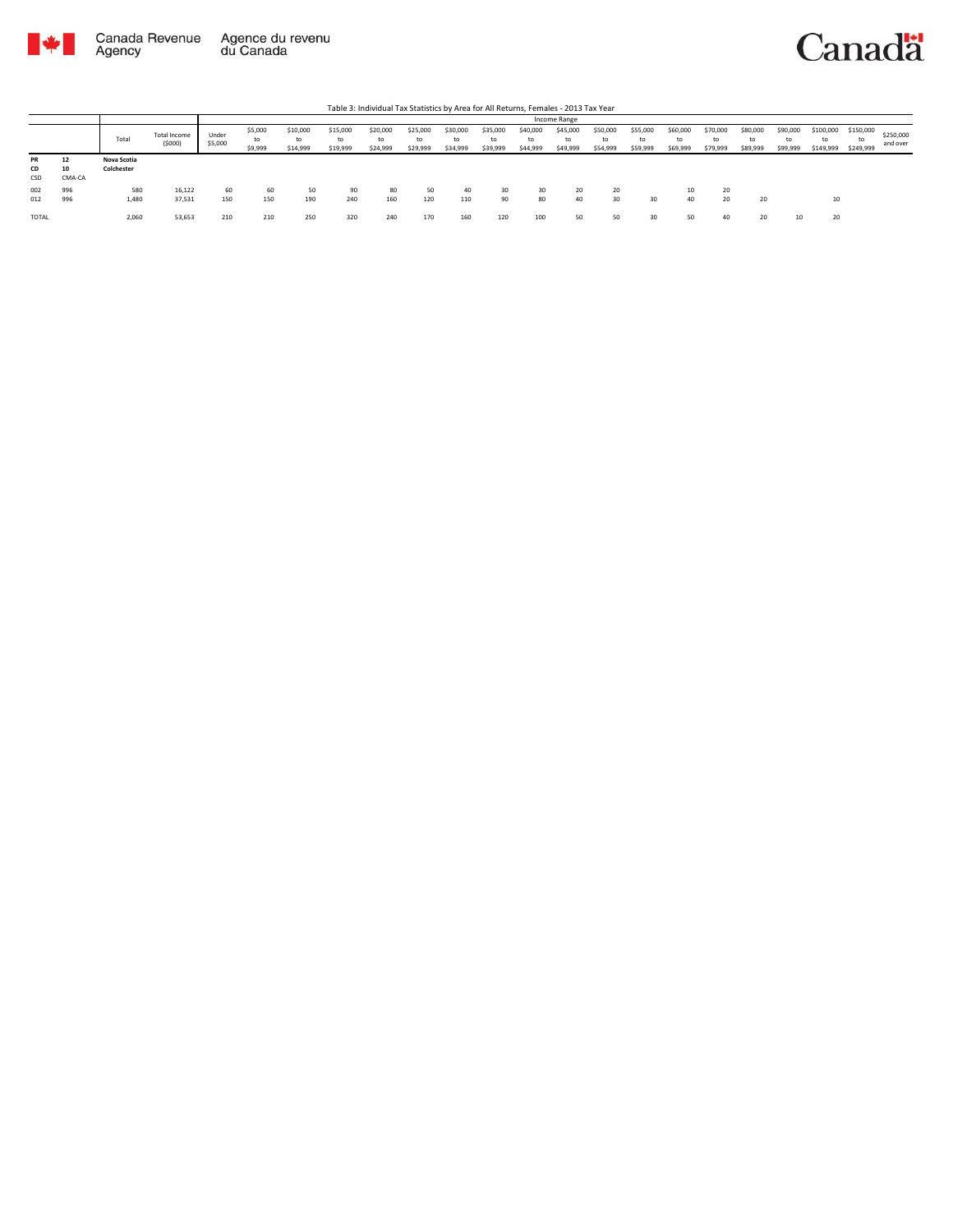

|                               |                    |                           |                        |                  |                          |                            |                            | Table 3: Individual Tax Statistics by Area for All Returns, Females - 2013 Tax Year |                            |                            |                            |                            |                            |                            |                            |                            |                            |                            |                            |                              |                              |                       |
|-------------------------------|--------------------|---------------------------|------------------------|------------------|--------------------------|----------------------------|----------------------------|-------------------------------------------------------------------------------------|----------------------------|----------------------------|----------------------------|----------------------------|----------------------------|----------------------------|----------------------------|----------------------------|----------------------------|----------------------------|----------------------------|------------------------------|------------------------------|-----------------------|
|                               |                    |                           |                        |                  |                          |                            |                            |                                                                                     |                            |                            |                            |                            | Income Range               |                            |                            |                            |                            |                            |                            |                              |                              |                       |
|                               |                    | Total                     | Total Income<br>(5000) | Under<br>\$5,000 | \$5,000<br>to<br>\$9,999 | \$10,000<br>to<br>\$14,999 | \$15,000<br>to<br>\$19,999 | \$20,000<br>to<br>\$24,999                                                          | \$25,000<br>to<br>\$29,999 | \$30,000<br>to<br>\$34,999 | \$35,000<br>to<br>\$39,999 | \$40,000<br>to<br>\$44,999 | \$45,000<br>to<br>\$49,999 | \$50,000<br>to<br>\$54,999 | \$55,000<br>to<br>\$59,999 | \$60,000<br>to<br>\$69,999 | \$70,000<br>to<br>\$79,999 | \$80,000<br>to<br>\$89,999 | \$90,000<br>to<br>\$99,999 | \$100,000<br>to<br>\$149,999 | \$150,000<br>to<br>\$249,999 | \$250,000<br>and over |
| <b>PR</b><br><b>CD</b><br>CSD | 12<br>10<br>CMA-CA | Nova Scotia<br>Colchester |                        |                  |                          |                            |                            |                                                                                     |                            |                            |                            |                            |                            |                            |                            |                            |                            |                            |                            |                              |                              |                       |
| 002<br>012                    | 996<br>996         | 580<br>1,480              | 16.122<br>37,531       | 60<br>150        | 60<br>150                | 50<br>190                  | 90<br>240                  | 80<br>160                                                                           | 50<br>120                  | 40<br>110                  | 30<br>90                   | 30<br>80                   | 20<br>40                   | 20<br>30                   | 30                         | 10<br>40                   | 20<br>20                   | 20                         |                            | 10                           |                              |                       |
| <b>TOTAL</b>                  |                    | 2,060                     | 53,653                 | 210              | 210                      | 250                        | 320                        | 240                                                                                 | 170                        | 160                        | 120                        | 100                        | 50                         | 50                         | 30                         | 50                         | 40                         | 20                         |                            | 20                           |                              |                       |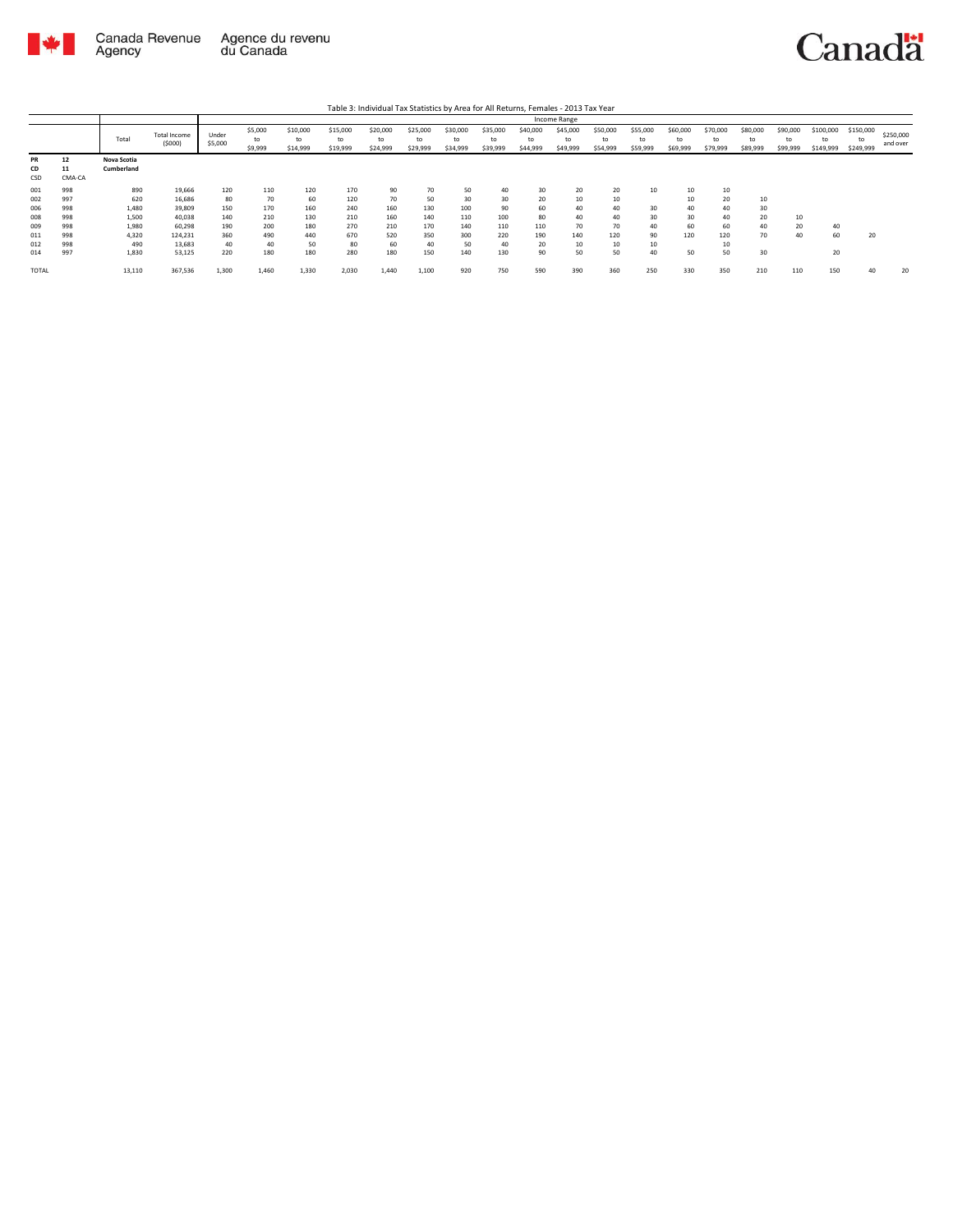



|              |        |             |              |         |         |          |          |          |          |          |          |          | Income Range |          |          |          |          |          |          |           |           |           |
|--------------|--------|-------------|--------------|---------|---------|----------|----------|----------|----------|----------|----------|----------|--------------|----------|----------|----------|----------|----------|----------|-----------|-----------|-----------|
|              |        |             | Total Income | Under   | \$5,000 | \$10,000 | \$15,000 | \$20,000 | \$25,000 | \$30,000 | \$35,000 | \$40,000 | \$45,000     | \$50,000 | \$55,000 | \$60,000 | \$70,000 | \$80,000 | \$90,000 | \$100,000 | \$150,000 | \$250,000 |
|              |        | Total       | (5000)       | \$5,000 | to      | to       | to       | to       | to       | to       | to       | to       | to           | to       | to       | to       | to       | to       | to       | to        | to        | and over  |
|              |        |             |              |         | \$9,999 | \$14,999 | \$19,999 | \$24,999 | \$29,999 | \$34,999 | \$39,999 | \$44,999 | \$49,999     | \$54,999 | \$59,999 | \$69,999 | \$79,999 | \$89,999 | \$99,999 | \$149,999 | \$249,999 |           |
| <b>PR</b>    | 12     | Nova Scotia |              |         |         |          |          |          |          |          |          |          |              |          |          |          |          |          |          |           |           |           |
| CD           | 11     | Cumberland  |              |         |         |          |          |          |          |          |          |          |              |          |          |          |          |          |          |           |           |           |
| CSD          | CMA-CA |             |              |         |         |          |          |          |          |          |          |          |              |          |          |          |          |          |          |           |           |           |
| 001          | 998    | 890         | 19,666       | 120     | 110     | 120      | 170      | 90       | 70       | 50       | 40       | 30       | 20           | 20       | 10       | 10       | 10       |          |          |           |           |           |
| 002          | 997    | 620         | 16,686       | 80      | 70      | 60       | 120      | 70       | 50       | 30       | 30       | 20       | 10           | 10       |          | 10       | 20       | 10       |          |           |           |           |
| 006          | 998    | 1,480       | 39,809       | 150     | 170     | 160      | 240      | 160      | 130      | 100      | 90       | 60       | 40           | 40       | 30       | 40       | 40       | 30       |          |           |           |           |
| 008          | 998    | 1,500       | 40,038       | 140     | 210     | 130      | 210      | 160      | 140      | 110      | 100      | 80       | 40           | 40       | 30       | 30       | 40       | 20       | 10       |           |           |           |
| 009          | 998    | 1,980       | 60,298       | 190     | 200     | 180      | 270      | 210      | 170      | 140      | 110      | 110      | 70           | 70       | 40       | 60       | 60       | 40       | 20       | 40        |           |           |
| 011          | 998    | 4,320       | 124,231      | 360     | 490     | 440      | 670      | 520      | 350      | 300      | 220      | 190      | 140          | 120      | 90       | 120      | 120      | 70       | 40       | 60        | 20        |           |
| 012          | 998    | 490         | 13,683       | 40      | 40      | 50       | 80       | 60       | 40       | 50       | 40       | 20       | 10           | 10       | 10       |          | 10       |          |          |           |           |           |
| 014          | 997    | 1,830       | 53,125       | 220     | 180     | 180      | 280      | 180      | 150      | 140      | 130      | 90       | 50           | 50       | 40       | 50       | 50       | 30       |          | 20        |           |           |
| <b>TOTAL</b> |        | 13,110      | 367,536      | 1,300   | 1,460   | 1,330    | 2,030    | 1,440    | 1,100    | 920      | 750      | 590      | 390          | 360      | 250      | 330      | 350      | 210      | 110      | 150       | 40        | 20        |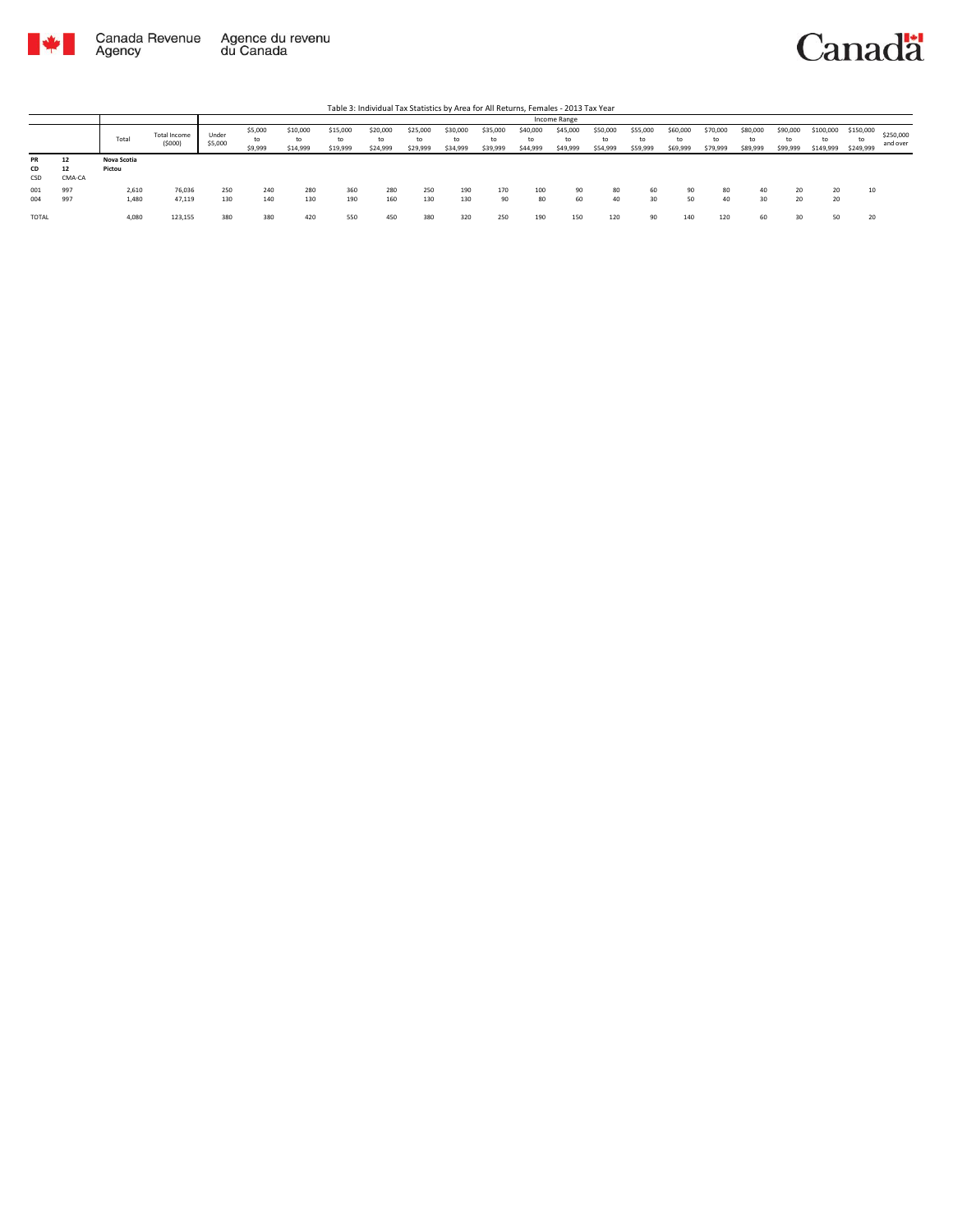

|                 |                    |                       |                        |                  |                          |                            |                            | Table 3: Individual Tax Statistics by Area for All Returns, Females - 2013 Tax Year |                            |                            |                            |                            |                            |                            |                            |                            |                            |                               |                            |                              |                              |                       |
|-----------------|--------------------|-----------------------|------------------------|------------------|--------------------------|----------------------------|----------------------------|-------------------------------------------------------------------------------------|----------------------------|----------------------------|----------------------------|----------------------------|----------------------------|----------------------------|----------------------------|----------------------------|----------------------------|-------------------------------|----------------------------|------------------------------|------------------------------|-----------------------|
|                 |                    |                       |                        |                  |                          |                            |                            |                                                                                     |                            |                            |                            |                            | Income Range               |                            |                            |                            |                            |                               |                            |                              |                              |                       |
|                 |                    | Total                 | Total Income<br>(5000) | Under<br>\$5,000 | \$5,000<br>to<br>\$9,999 | \$10,000<br>to<br>\$14,999 | \$15,000<br>to<br>\$19,999 | \$20,000<br>to<br>\$24,999                                                          | \$25,000<br>to<br>\$29,999 | \$30,000<br>to<br>\$34,999 | \$35,000<br>to<br>\$39,999 | \$40,000<br>to<br>\$44,999 | \$45,000<br>to<br>\$49,999 | \$50,000<br>to<br>\$54,999 | \$55,000<br>to<br>\$59,999 | \$60,000<br>to<br>\$69,999 | \$70,000<br>to<br>\$79,999 | \$80,000<br>$t_0$<br>\$89,999 | \$90,000<br>to<br>\$99,999 | \$100,000<br>to<br>\$149,999 | \$150,000<br>to<br>\$249,999 | \$250,000<br>and over |
| PR<br>CD<br>CSD | 12<br>12<br>CMA-CA | Nova Scotia<br>Pictou |                        |                  |                          |                            |                            |                                                                                     |                            |                            |                            |                            |                            |                            |                            |                            |                            |                               |                            |                              |                              |                       |
| 001<br>004      | 997<br>997         | 2,610<br>1,480        | 76,036<br>47,119       | 250<br>130       | 240<br>140               | 280<br>130                 | 360<br>190                 | 280<br>160                                                                          | 250<br>130                 | 190<br>130                 | 170<br>90                  | 100<br>80                  | 90<br>60                   | 80<br>40                   | 60<br>30                   | 90<br>50                   | 80<br>40                   | 30                            | $\sim$                     | 20<br>20                     | 10                           |                       |
| <b>TOTAL</b>    |                    | 4,080                 | 123,155                | 380              | 380                      | 420                        | 550                        | 450                                                                                 | 380                        | 320                        | 250                        | 190                        | 150                        | 120                        | 90                         | 140                        | 120                        | 60                            |                            | 50                           | 20                           |                       |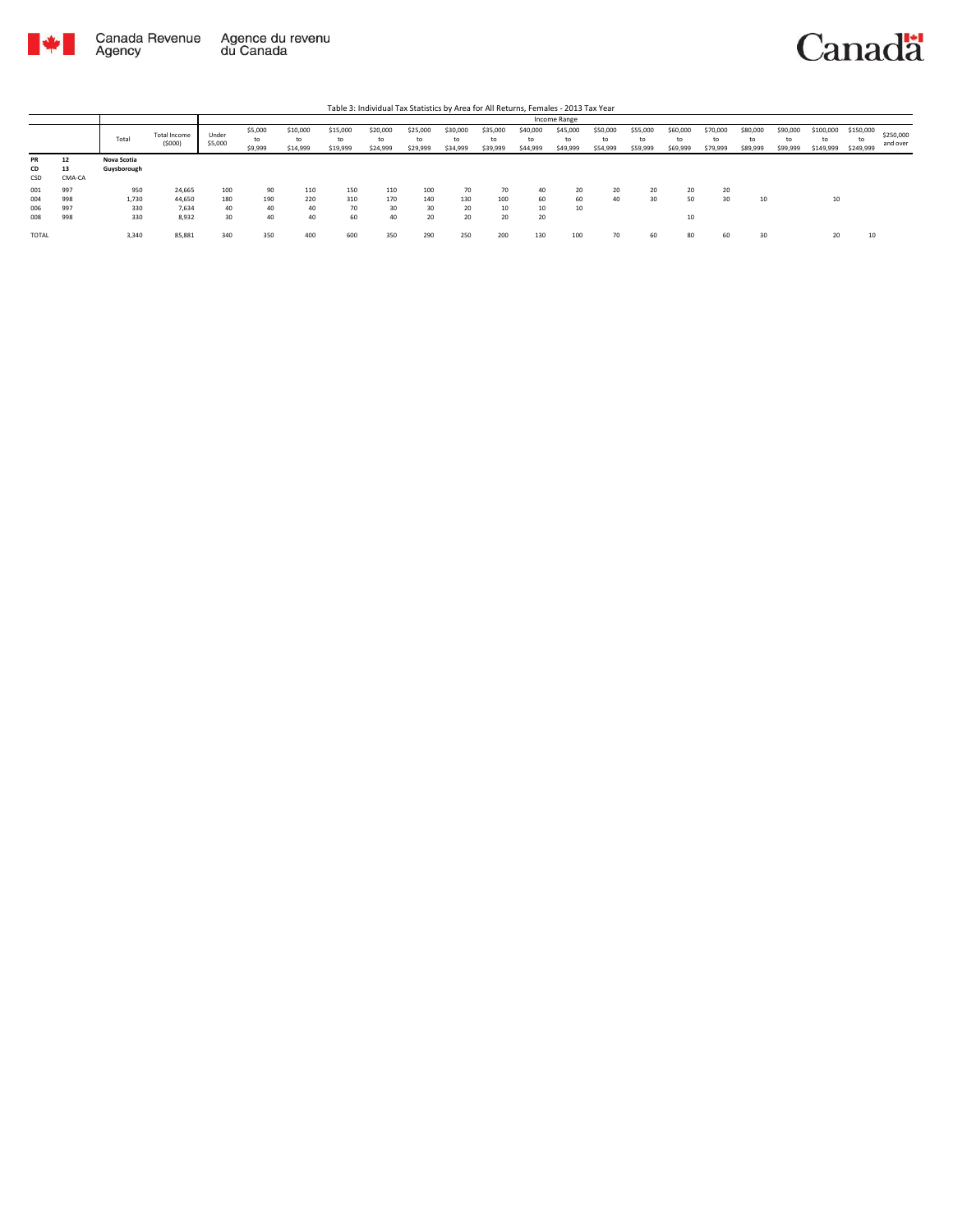

|                        |                    |                            |                               | Income Range     |                          |                            |                            |                            |                            |                            |                            |                            |                            |                            |                            |                            |                            |                            |                            |                              |                              |                       |
|------------------------|--------------------|----------------------------|-------------------------------|------------------|--------------------------|----------------------------|----------------------------|----------------------------|----------------------------|----------------------------|----------------------------|----------------------------|----------------------------|----------------------------|----------------------------|----------------------------|----------------------------|----------------------------|----------------------------|------------------------------|------------------------------|-----------------------|
|                        |                    | Total                      | <b>Total Income</b><br>(5000) | Under<br>\$5,000 | \$5,000<br>to<br>\$9,999 | \$10,000<br>to<br>\$14,999 | \$15,000<br>to<br>\$19,999 | \$20,000<br>to<br>\$24,999 | \$25,000<br>to<br>\$29,999 | \$30,000<br>to<br>\$34,999 | \$35,000<br>to<br>\$39,999 | \$40,000<br>to<br>\$44,999 | \$45,000<br>to<br>\$49,999 | \$50,000<br>to<br>\$54,999 | \$55,000<br>to<br>\$59,999 | \$60,000<br>to<br>\$69,999 | \$70,000<br>to<br>\$79,999 | \$80,000<br>to<br>\$89,999 | \$90,000<br>to<br>\$99,999 | \$100,000<br>to<br>\$149,999 | \$150,000<br>to<br>\$249,999 | \$250,000<br>and over |
| <b>PR</b><br>CD<br>CSD | 12<br>13<br>CMA-CA | Nova Scotia<br>Guysborough |                               |                  |                          |                            |                            |                            |                            |                            |                            |                            |                            |                            |                            |                            |                            |                            |                            |                              |                              |                       |
| 001                    | 997                | 950                        | 24,665                        | 100              | 90                       | 110                        | 150                        | 110                        | 100                        | 70                         | 70                         | 40                         | 20                         | 20                         | 20                         | 20                         | 20                         |                            |                            |                              |                              |                       |
| 004                    | 998                | 1,730                      | 44,650                        | 180              | 190                      | 220                        | 310                        | 170                        | 140                        | 130                        | 100                        | 60                         | 60                         | 40                         | 30                         | 50                         | 30                         | 10                         |                            | 10                           |                              |                       |
| 006                    | 997                | 330                        | 7.634                         | 40               | 40                       | 40                         | 70                         | 30                         | 30                         | 20                         | 10                         | 10                         | 10                         |                            |                            |                            |                            |                            |                            |                              |                              |                       |
| 008                    | 998                | 330                        | 8,932                         | 30               | 40                       | 40                         | 60                         | 40                         | 20                         | 20                         | 20                         | 20                         |                            |                            |                            | 10                         |                            |                            |                            |                              |                              |                       |
| <b>TOTAL</b>           |                    | 3,340                      | 85,881                        | 340              | 350                      | 400                        | 600                        | 350                        | 290                        | 250                        | 200                        | 130                        | 100                        |                            | 60                         | 80                         | 60                         | 30                         |                            | 20                           | 10                           |                       |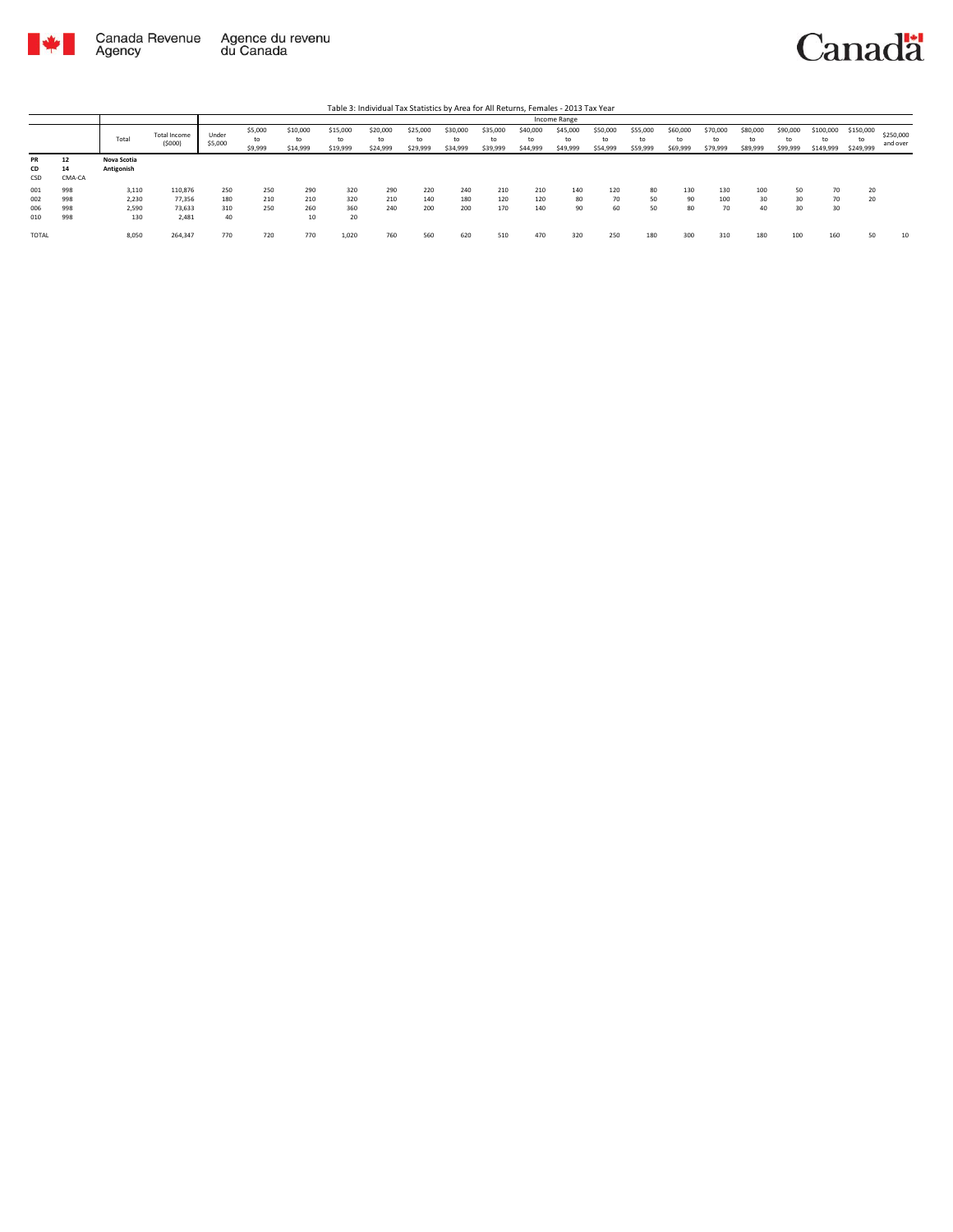

Agency

## Canadä

Total Total Income (\$000) Under \$5,000 \$5,000 to \$9,999 \$10,000 to \$14,999 \$15,000 to \$19,999 \$20,000 to \$24,999 \$25,000 to \$29,999 \$30,000 to \$34,999 \$35,000 to \$39,999 \$40,000 to \$44,999 \$45,000 to \$49,999 \$50,000 to \$54,999 \$55,000 to \$59,999 \$60,000 to \$69,999 \$70,000 to \$79,999 \$80,000 to \$89,999 \$90,000 to \$99,999 \$100,000 to \$149,999 \$150,000 to \$249,999 \$250,000 and over Table 3: Individual Tax Statistics by Area for All Returns, Females - 2013 Tax Year Income Range **PR 12 Nova Scotia CD 14 Antigonish** PR 12<br>CD 14<br>CSD CMA-CA<br>001 998<br>002 998<br>006 998<br>010 998 001 998 3,110 110,876 250 250 290 320 290 220 240 210 210 140 120 80 130 130 100 50 70 20 002 998 2,230 77,356 180 210 210 320 210 140 180 120 120 80 70 50 90 100 30 30 70 20 006 998 2,590 73,633 310 250 260 360 240 200 200 170 140 90 60 50 80 70 40 30 30 010 998 130 2,481 40 10 20 TOTAL 8,050 264,347 770 720 770 1,020 760 560 620 510 470 320 250 180 300 310 180 100 160 50 10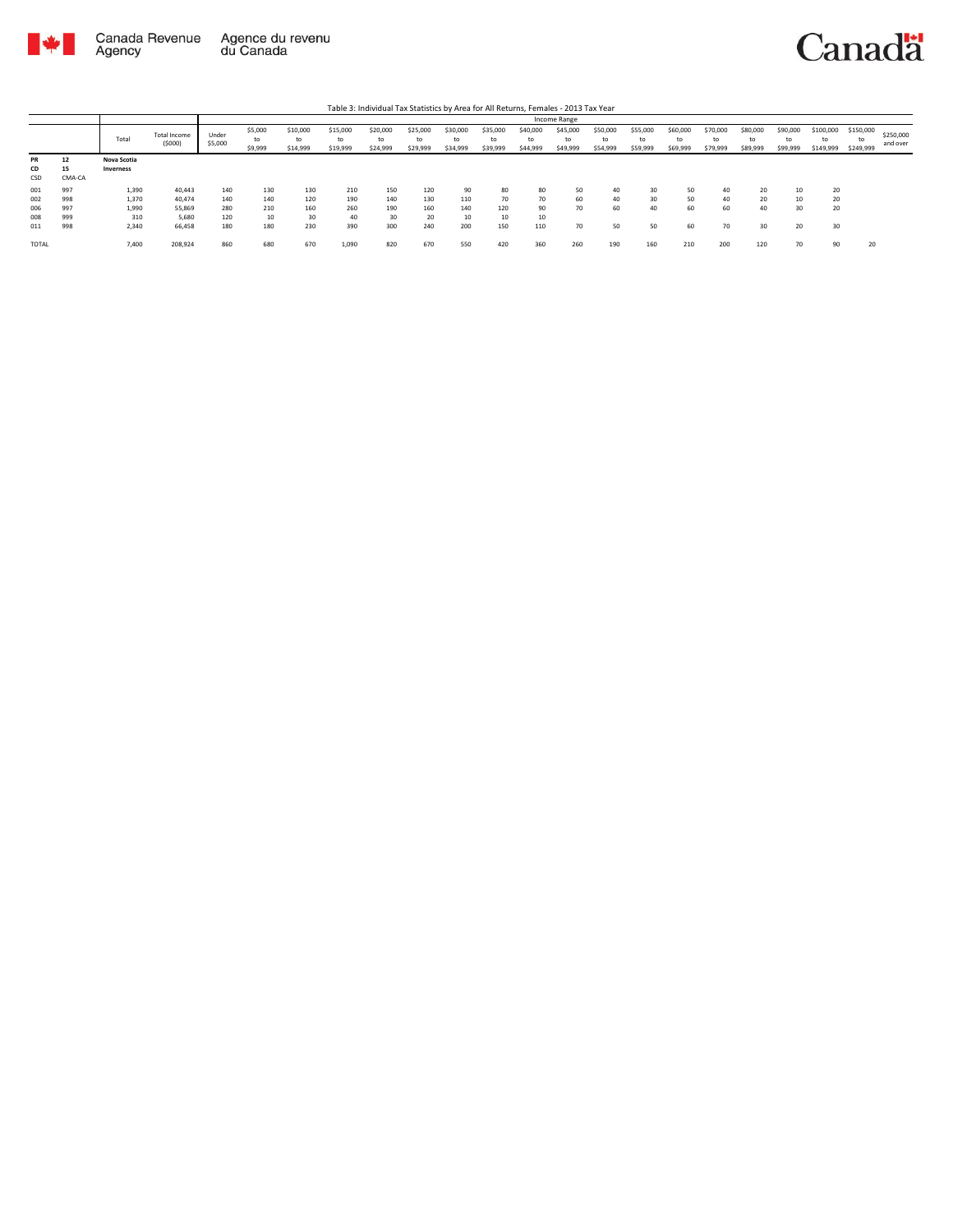

|              |        |             |                        |                  |                          |                            |                            |                            |                            |                            |                            |                            | Income Range               |                            |                            |                            |                            |                            |                            |                              |                              |                       |
|--------------|--------|-------------|------------------------|------------------|--------------------------|----------------------------|----------------------------|----------------------------|----------------------------|----------------------------|----------------------------|----------------------------|----------------------------|----------------------------|----------------------------|----------------------------|----------------------------|----------------------------|----------------------------|------------------------------|------------------------------|-----------------------|
|              |        | Total       | Total Income<br>(5000) | Under<br>\$5,000 | \$5,000<br>to<br>\$9,999 | \$10,000<br>to<br>\$14,999 | \$15,000<br>to<br>\$19,999 | \$20,000<br>to<br>\$24,999 | \$25,000<br>to<br>\$29,999 | \$30,000<br>to<br>\$34,999 | \$35,000<br>to<br>\$39,999 | \$40,000<br>to<br>\$44,999 | \$45,000<br>to<br>\$49,999 | \$50,000<br>to<br>\$54,999 | \$55,000<br>to<br>\$59,999 | \$60,000<br>to<br>\$69,999 | \$70,000<br>to<br>\$79,999 | \$80,000<br>to<br>\$89,999 | \$90,000<br>to<br>\$99,999 | \$100,000<br>to<br>\$149,999 | \$150,000<br>to<br>\$249,999 | \$250,000<br>and over |
| <b>PR</b>    | 12     | Nova Scotia |                        |                  |                          |                            |                            |                            |                            |                            |                            |                            |                            |                            |                            |                            |                            |                            |                            |                              |                              |                       |
| CD           | 15     | Inverness   |                        |                  |                          |                            |                            |                            |                            |                            |                            |                            |                            |                            |                            |                            |                            |                            |                            |                              |                              |                       |
| CSD          | CMA-CA |             |                        |                  |                          |                            |                            |                            |                            |                            |                            |                            |                            |                            |                            |                            |                            |                            |                            |                              |                              |                       |
| 001          | 997    | 1,390       | 40,443                 | 140              | 130                      | 130                        | 210                        | 150                        | 120                        | 90                         | 80                         | 80                         | 50                         | 40                         | 30                         | 50                         | 40                         | 20                         | 10                         | 20                           |                              |                       |
| 002          | 998    | 1,370       | 40,474                 | 140              | 140                      | 120                        | 190                        | 140                        | 130                        | 110                        | 70                         | 70                         | 60                         | 40                         | 30                         | 50                         | 40                         | 20                         | 10                         | 20                           |                              |                       |
| 006          | 997    | 1,990       | 55,869                 | 280              | 210                      | 160                        | 260                        | 190                        | 160                        | 140                        | 120                        | 90                         | 70                         | 60                         | 40                         | 60                         | 60                         | 40                         | 30                         | 20                           |                              |                       |
| 008          | 999    | 310         | 5.680                  | 120              | 10                       | 30                         | 40                         | 30                         | 20                         | 10                         | 10                         | 10                         |                            |                            |                            |                            |                            |                            |                            |                              |                              |                       |
| 011          | 998    | 2,340       | 66,458                 | 180              | 180                      | 230                        | 390                        | 300                        | 240                        | 200                        | 150                        | 110                        | 70                         | 50                         | 50                         | 60                         | 70                         | 30                         | 20                         | 30                           |                              |                       |
| <b>TOTAL</b> |        | 7,400       | 208,924                | 860              | 680                      | 670                        | 1,090                      | 820                        | 670                        | 550                        | 420                        | 360                        | 260                        | 190                        | 160                        | 210                        | 200                        | 120                        | 70                         | 90                           | 20                           |                       |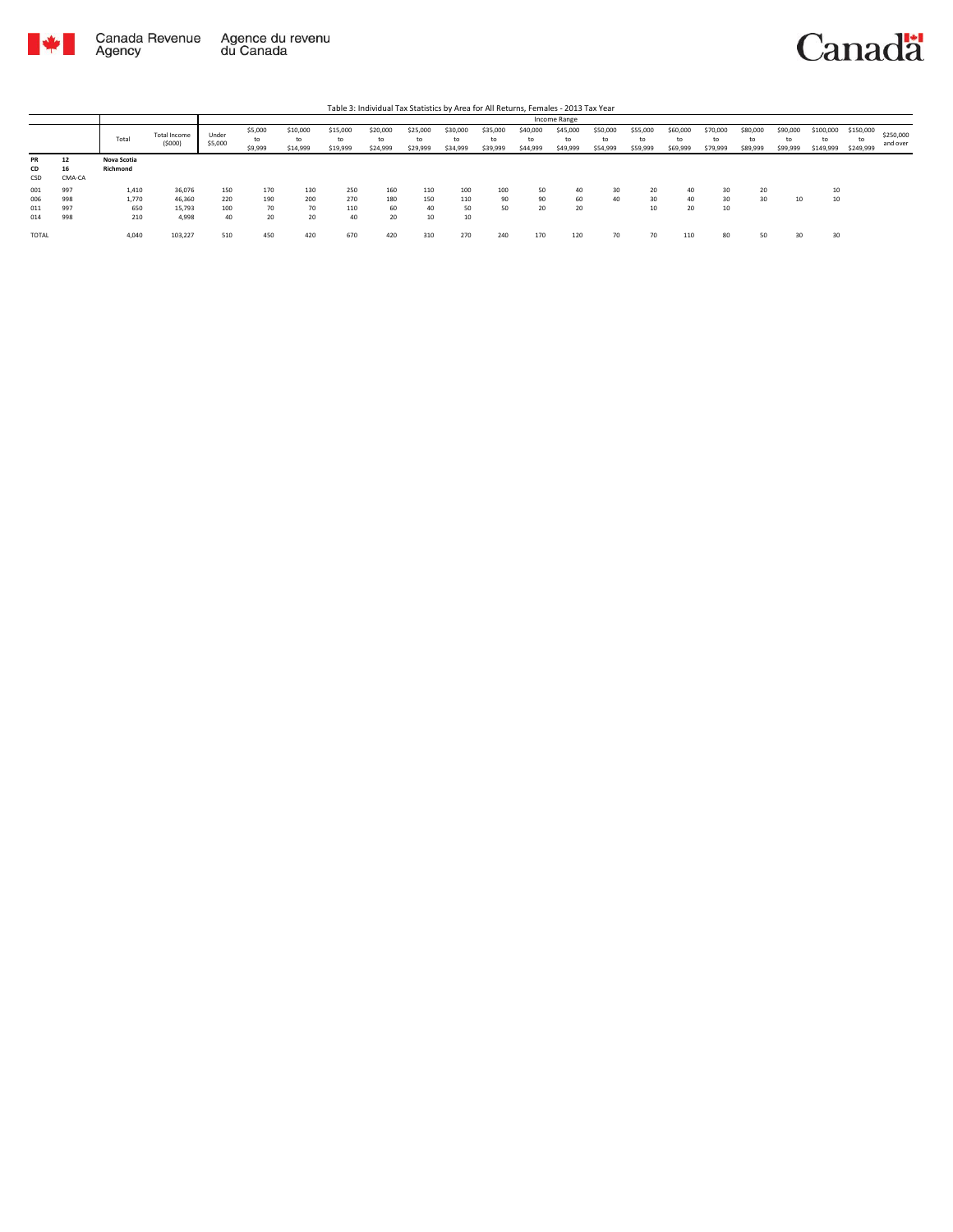

**TOTAL** 

 $4,040$ 

103,227

510

450

420

670

## Canadä

110

 $70\,$ 

80

50

 $30$ 

 $_{30}$ 

|           | Table 3: Individual Tax Statistics by Area for All Returns, Females - 2013 Tax Year |             |                               |                  |                          |                            |                            |                            |                            |                            |                            |                            |                            |                            |                            |                            |                            |                            |                            |                              |                              |                       |
|-----------|-------------------------------------------------------------------------------------|-------------|-------------------------------|------------------|--------------------------|----------------------------|----------------------------|----------------------------|----------------------------|----------------------------|----------------------------|----------------------------|----------------------------|----------------------------|----------------------------|----------------------------|----------------------------|----------------------------|----------------------------|------------------------------|------------------------------|-----------------------|
|           |                                                                                     |             |                               |                  | Income Range             |                            |                            |                            |                            |                            |                            |                            |                            |                            |                            |                            |                            |                            |                            |                              |                              |                       |
|           |                                                                                     | Total       | <b>Total Income</b><br>(5000) | Under<br>\$5,000 | \$5,000<br>to<br>\$9,999 | \$10,000<br>to<br>\$14,999 | \$15,000<br>to<br>\$19,999 | \$20,000<br>to<br>\$24,999 | \$25,000<br>to<br>\$29,999 | \$30,000<br>to<br>\$34,999 | \$35,000<br>to<br>\$39,999 | \$40,000<br>to<br>\$44,999 | \$45,000<br>to<br>\$49,999 | \$50,000<br>to<br>\$54,999 | \$55,000<br>to<br>\$59,999 | \$60,000<br>to<br>\$69,999 | \$70,000<br>to<br>\$79,999 | \$80,000<br>to<br>\$89,999 | \$90,000<br>to<br>\$99,999 | \$100,000<br>to<br>\$149,999 | \$150,000<br>to<br>\$249,999 | \$250,000<br>and over |
| <b>PR</b> | 12                                                                                  | Nova Scotia |                               |                  |                          |                            |                            |                            |                            |                            |                            |                            |                            |                            |                            |                            |                            |                            |                            |                              |                              |                       |
| <b>CD</b> | 16                                                                                  | Richmond    |                               |                  |                          |                            |                            |                            |                            |                            |                            |                            |                            |                            |                            |                            |                            |                            |                            |                              |                              |                       |
| CSD       | CMA-CA                                                                              |             |                               |                  |                          |                            |                            |                            |                            |                            |                            |                            |                            |                            |                            |                            |                            |                            |                            |                              |                              |                       |
| 001       | 997                                                                                 | 1.410       | 36,076                        | 150              | 170                      | 130                        | 250                        | 160                        | 110                        | 100                        | 100                        | 50                         | 40                         | 30                         | 20                         | 40                         | 30                         | 20                         |                            | 10                           |                              |                       |
| 006       | 998                                                                                 | 1.770       | 46,360                        | 220              | 190                      | 200                        | 270                        | 180                        | 150                        | 110                        | 90                         | 90                         | 60                         | 40                         | $30^{\circ}$               | 40                         | 30                         | 30                         | 10                         | 10                           |                              |                       |
| 011       | 997                                                                                 | 650         | 15.793                        | 100              | 70                       | 70                         | 110                        | 60                         | 40                         | 50                         | 50                         | 20                         | 20                         |                            | 10                         | 20                         | 10                         |                            |                            |                              |                              |                       |
| 014       | 998                                                                                 | 210         | 4,998                         | 40               | 20                       | 20                         | 40                         | 20                         | 10                         | 10                         |                            |                            |                            |                            |                            |                            |                            |                            |                            |                              |                              |                       |

270

 ${\bf 240}$ 

170

120

 $70\,$ 

 $310$ 

420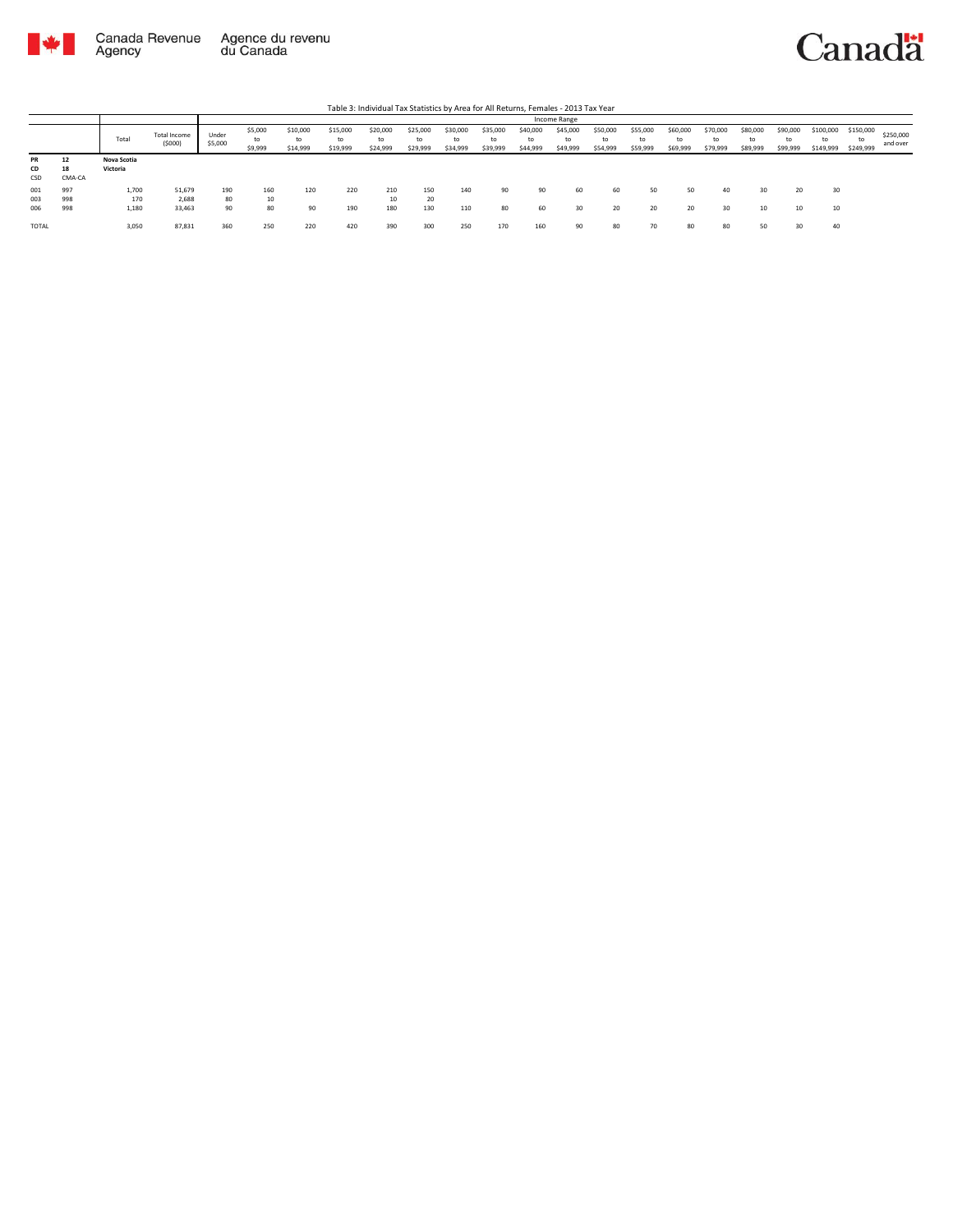

|                        |                    |                         |                           |                  |                          |                            |                            | Table 3: Individual Tax Statistics by Area for All Returns, Females - 2013 Tax Year |                            |                            |                            |                            |                            |                            |                            |                            |                            |                            |                            |                              |                              |                       |
|------------------------|--------------------|-------------------------|---------------------------|------------------|--------------------------|----------------------------|----------------------------|-------------------------------------------------------------------------------------|----------------------------|----------------------------|----------------------------|----------------------------|----------------------------|----------------------------|----------------------------|----------------------------|----------------------------|----------------------------|----------------------------|------------------------------|------------------------------|-----------------------|
|                        |                    |                         |                           |                  |                          |                            |                            |                                                                                     |                            |                            |                            |                            | Income Range               |                            |                            |                            |                            |                            |                            |                              |                              |                       |
|                        |                    | Total                   | Total Income<br>(5000)    | Under<br>\$5,000 | \$5,000<br>to<br>\$9,999 | \$10,000<br>to<br>\$14,999 | \$15,000<br>to<br>\$19,999 | \$20,000<br>to<br>\$24,999                                                          | \$25,000<br>to<br>\$29,999 | \$30,000<br>to<br>\$34,999 | \$35,000<br>to<br>\$39,999 | \$40,000<br>to<br>\$44,999 | \$45,000<br>to<br>\$49,999 | \$50,000<br>to<br>\$54,999 | \$55,000<br>to<br>\$59,999 | \$60,000<br>to<br>\$69,999 | \$70,000<br>to<br>\$79,999 | \$80,000<br>t٥<br>\$89,999 | \$90,000<br>to<br>\$99,999 | \$100,000<br>to<br>\$149,999 | \$150,000<br>to<br>\$249,999 | \$250,000<br>and over |
| <b>PR</b><br>CD<br>CSD | 12<br>18<br>CMA-CA | Nova Scotia<br>Victoria |                           |                  |                          |                            |                            |                                                                                     |                            |                            |                            |                            |                            |                            |                            |                            |                            |                            |                            |                              |                              |                       |
| 001<br>003<br>006      | 997<br>998<br>998  | 1,700<br>170<br>1,180   | 51,679<br>2.688<br>33,463 | 190<br>80<br>90  | 160<br>10<br>80          | 120<br>90                  | 220<br>190                 | 210<br>10<br>180                                                                    | 150<br>20<br>130           | 140<br>110                 | 90<br>80                   | 90<br>60                   | 60<br>30                   | 60<br>20                   | 50<br>20                   | 50<br>20                   | 40<br>30                   | 30<br>10                   | 10                         | 30<br>10                     |                              |                       |
| TOTAL                  |                    | 3,050                   | 87,831                    | 360              | 250                      | 220                        | 420                        | 390                                                                                 | 300                        | 250                        | 170                        | 160                        | 90                         | 80                         | 70                         | 80                         | 80                         | 50                         |                            | 40                           |                              |                       |